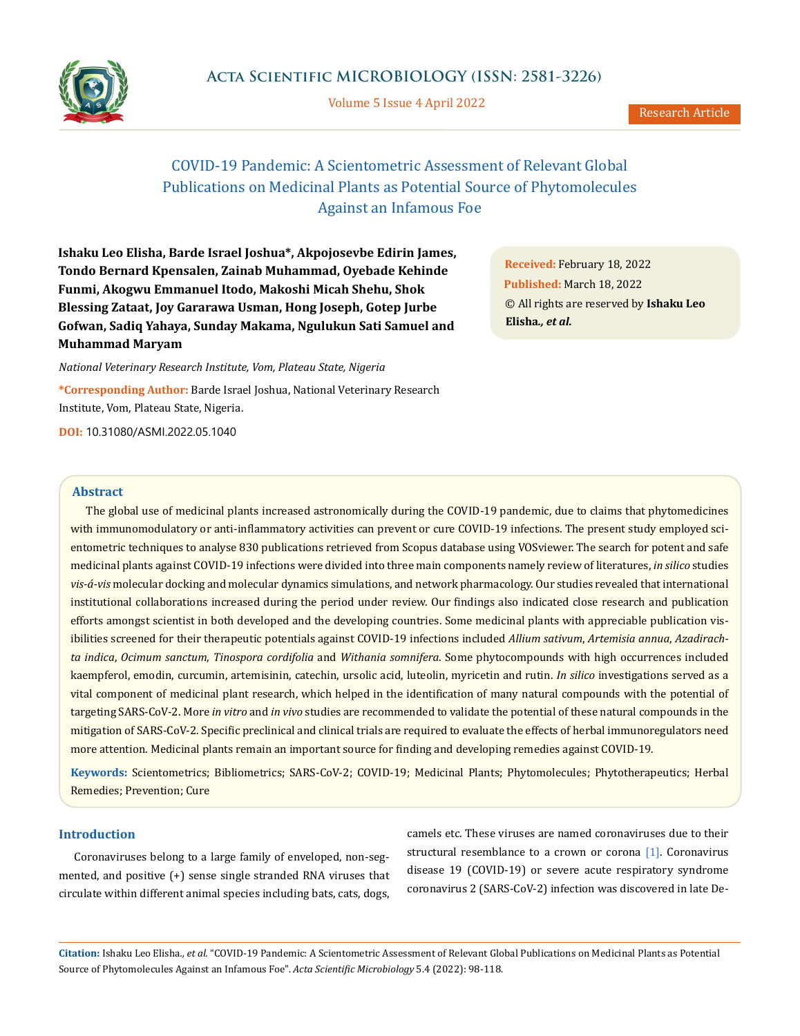

Volume 5 Issue 4 April 2022

# COVID-19 Pandemic: A Scientometric Assessment of Relevant Global Publications on Medicinal Plants as Potential Source of Phytomolecules Against an Infamous Foe

**Ishaku Leo Elisha, Barde Israel Joshua\*, Akpojosevbe Edirin James, Tondo Bernard Kpensalen, Zainab Muhammad, Oyebade Kehinde Funmi, Akogwu Emmanuel Itodo, Makoshi Micah Shehu, Shok Blessing Zataat, Joy Gararawa Usman, Hong Joseph, Gotep Jurbe Gofwan, Sadiq Yahaya, Sunday Makama, Ngulukun Sati Samuel and Muhammad Maryam** 

*National Veterinary Research Institute, Vom, Plateau State, Nigeria*

**\*Corresponding Author:** Barde Israel Joshua, National Veterinary Research Institute, Vom, Plateau State, Nigeria.

**DOI:** [10.31080/ASMI.2022.05.1040](http://actascientific.com/ASMI/pdf/ASMI-05-1040.pdf)

**Received:** February 18, 2022 **Published:** March 18, 2022 © All rights are reserved by **Ishaku Leo Elisha***., et al.*

#### **Abstract**

The global use of medicinal plants increased astronomically during the COVID-19 pandemic, due to claims that phytomedicines with immunomodulatory or anti-inflammatory activities can prevent or cure COVID-19 infections. The present study employed scientometric techniques to analyse 830 publications retrieved from Scopus database using VOSviewer. The search for potent and safe medicinal plants against COVID-19 infections were divided into three main components namely review of literatures, *in silico* studies *vis-á-vis* molecular docking and molecular dynamics simulations, and network pharmacology. Our studies revealed that international institutional collaborations increased during the period under review. Our findings also indicated close research and publication efforts amongst scientist in both developed and the developing countries. Some medicinal plants with appreciable publication visibilities screened for their therapeutic potentials against COVID-19 infections included *Allium sativum*, *Artemisia annua*, *Azadirachta indica*, *Ocimum sanctum*, *Tinospora cordifolia* and *Withania somnifera*. Some phytocompounds with high occurrences included kaempferol, emodin, curcumin, artemisinin, catechin, ursolic acid, luteolin, myricetin and rutin. *In silico* investigations served as a vital component of medicinal plant research, which helped in the identification of many natural compounds with the potential of targeting SARS-CoV-2. More *in vitro* and *in vivo* studies are recommended to validate the potential of these natural compounds in the mitigation of SARS-CoV-2. Specific preclinical and clinical trials are required to evaluate the effects of herbal immunoregulators need more attention. Medicinal plants remain an important source for finding and developing remedies against COVID-19.

**Keywords:** Scientometrics; Bibliometrics; SARS-CoV-2; COVID-19; Medicinal Plants; Phytomolecules; Phytotherapeutics; Herbal Remedies; Prevention; Cure

# **Introduction**

Coronaviruses belong to a large family of enveloped, non-segmented, and positive (+) sense single stranded RNA viruses that circulate within different animal species including bats, cats, dogs,

camels etc. These viruses are named coronaviruses due to their structural resemblance to a crown or corona [1]. Coronavirus disease 19 (COVID-19) or severe acute respiratory syndrome coronavirus 2 (SARS-CoV-2) infection was discovered in late De-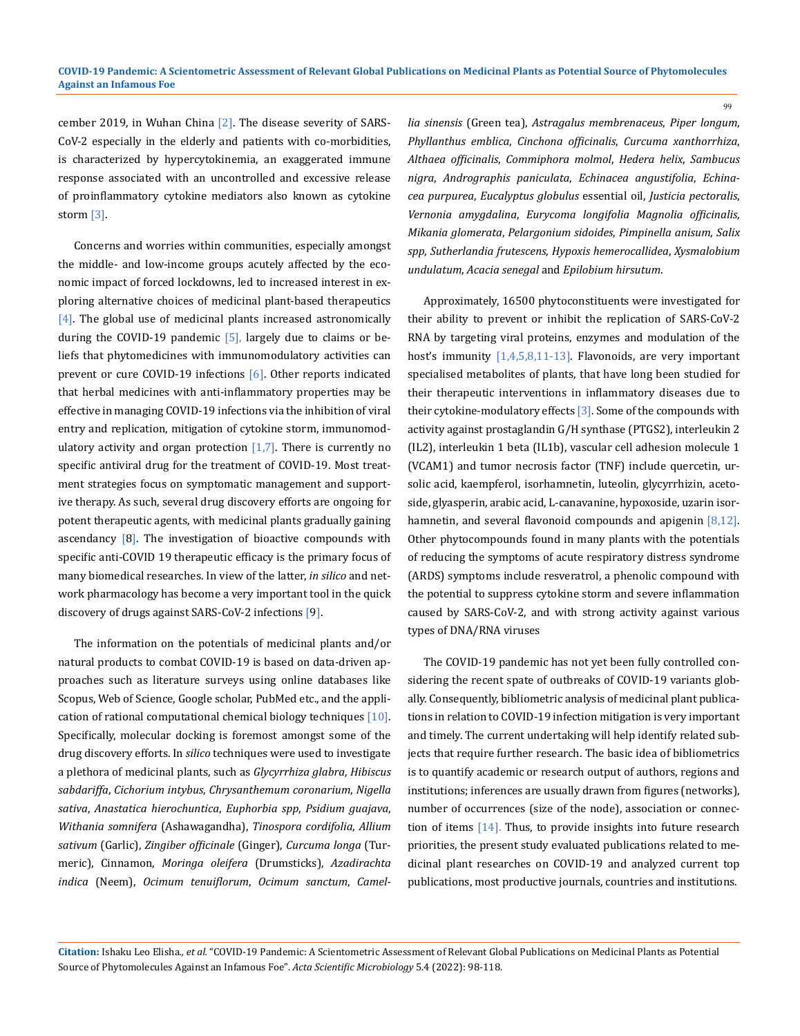cember 2019, in Wuhan China [2]. The disease severity of SARS-CoV-2 especially in the elderly and patients with co-morbidities, is characterized by hypercytokinemia, an exaggerated immune response associated with an uncontrolled and excessive release of proinflammatory cytokine mediators also known as cytokine storm [3].

Concerns and worries within communities, especially amongst the middle- and low-income groups acutely affected by the economic impact of forced lockdowns, led to increased interest in exploring alternative choices of medicinal plant-based therapeutics [4]. The global use of medicinal plants increased astronomically during the COVID-19 pandemic  $[5]$ , largely due to claims or beliefs that phytomedicines with immunomodulatory activities can prevent or cure COVID-19 infections [6]. Other reports indicated that herbal medicines with anti-inflammatory properties may be effective in managing COVID-19 infections via the inhibition of viral entry and replication, mitigation of cytokine storm, immunomodulatory activity and organ protection  $[1,7]$ . There is currently no specific antiviral drug for the treatment of COVID-19. Most treatment strategies focus on symptomatic management and supportive therapy. As such, several drug discovery efforts are ongoing for potent therapeutic agents, with medicinal plants gradually gaining ascendancy [8]. The investigation of bioactive compounds with specific anti-COVID 19 therapeutic efficacy is the primary focus of many biomedical researches. In view of the latter, *in silico* and network pharmacology has become a very important tool in the quick discovery of drugs against SARS-CoV-2 infections [9].

The information on the potentials of medicinal plants and/or natural products to combat COVID-19 is based on data-driven approaches such as literature surveys using online databases like Scopus, Web of Science, Google scholar, PubMed etc., and the application of rational computational chemical biology techniques [10]. Specifically, molecular docking is foremost amongst some of the drug discovery efforts. In *silico* techniques were used to investigate a plethora of medicinal plants, such as *Glycyrrhiza glabra*, *Hibiscus sabdariffa*, *Cichorium intybus*, *Chrysanthemum coronarium*, *Nigella sativa*, *Anastatica hierochuntica*, *Euphorbia spp*, *Psidium guajava*, *Withania somnifera* (Ashawagandha), *Tinospora cordifolia*, *Allium sativum* (Garlic), *Zingiber officinale* (Ginger), *Curcuma longa* (Turmeric), Cinnamon, *Moringa oleifera* (Drumsticks), *Azadirachta indica* (Neem), *Ocimum tenuiflorum*, *Ocimum sanctum*, *Camel-* *lia sinensis* (Green tea), *Astragalus membrenaceus*, *Piper longum*, *Phyllanthus emblica*, *Cinchona officinalis*, *Curcuma xanthorrhiza*, *Althaea officinalis*, *Commiphora molmol*, *Hedera helix*, *Sambucus nigra*, *Andrographis paniculata*, *Echinacea angustifolia*, *Echinacea purpurea*, *Eucalyptus globulus* essential oil, *Justicia pectoralis*, *Vernonia amygdalina*, *Eurycoma longifolia Magnolia officinalis*, *Mikania glomerata*, *Pelargonium sidoides*, *Pimpinella anisum*, *Salix spp*, *Sutherlandia frutescens*, *Hypoxis hemerocallidea*, *Xysmalobium undulatum*, *Acacia senegal* and *Epilobium hirsutum*.

99

Approximately, 16500 phytoconstituents were investigated for their ability to prevent or inhibit the replication of SARS-CoV-2 RNA by targeting viral proteins, enzymes and modulation of the host's immunity [1,4,5,8,11-13]. Flavonoids, are very important specialised metabolites of plants, that have long been studied for their therapeutic interventions in inflammatory diseases due to their cytokine-modulatory effects [3]. Some of the compounds with activity against prostaglandin G/H synthase (PTGS2), interleukin 2 (IL2), interleukin 1 beta (IL1b), vascular cell adhesion molecule 1 (VCAM1) and tumor necrosis factor (TNF) include quercetin, ursolic acid, kaempferol, isorhamnetin, luteolin, glycyrrhizin, acetoside, glyasperin, arabic acid, L-canavanine, hypoxoside, uzarin isorhamnetin, and several flavonoid compounds and apigenin [8,12]. Other phytocompounds found in many plants with the potentials of reducing the symptoms of acute respiratory distress syndrome (ARDS) symptoms include resveratrol, a phenolic compound with the potential to suppress cytokine storm and severe inflammation caused by SARS-CoV-2, and with strong activity against various types of DNA/RNA viruses

The COVID-19 pandemic has not yet been fully controlled considering the recent spate of outbreaks of COVID-19 variants globally. Consequently, bibliometric analysis of medicinal plant publications in relation to COVID-19 infection mitigation is very important and timely. The current undertaking will help identify related subjects that require further research. The basic idea of bibliometrics is to quantify academic or research output of authors, regions and institutions; inferences are usually drawn from figures (networks), number of occurrences (size of the node), association or connection of items [14]. Thus, to provide insights into future research priorities, the present study evaluated publications related to medicinal plant researches on COVID-19 and analyzed current top publications, most productive journals, countries and institutions.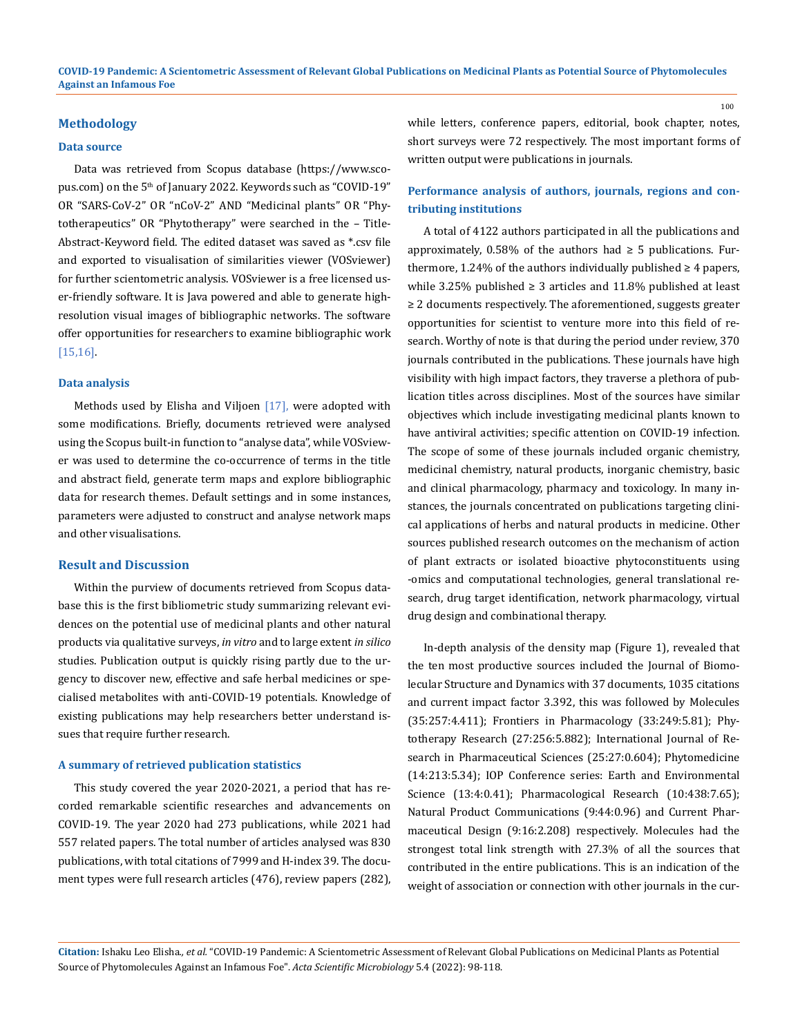#### **Methodology**

#### **Data source**

Data was retrieved from Scopus database (https://www.scopus.com) on the 5<sup>th</sup> of January 2022. Keywords such as "COVID-19" OR "SARS-CoV-2" OR "nCoV-2" AND "Medicinal plants" OR "Phytotherapeutics" OR "Phytotherapy" were searched in the – Title-Abstract-Keyword field. The edited dataset was saved as \*.csv file and exported to visualisation of similarities viewer (VOSviewer) for further scientometric analysis. VOSviewer is a free licensed user-friendly software. It is Java powered and able to generate highresolution visual images of bibliographic networks. The software offer opportunities for researchers to examine bibliographic work [15,16].

#### **Data analysis**

Methods used by Elisha and Viljoen  $[17]$ , were adopted with some modifications. Briefly, documents retrieved were analysed using the Scopus built-in function to "analyse data", while VOSviewer was used to determine the co-occurrence of terms in the title and abstract field, generate term maps and explore bibliographic data for research themes. Default settings and in some instances, parameters were adjusted to construct and analyse network maps and other visualisations.

### **Result and Discussion**

Within the purview of documents retrieved from Scopus database this is the first bibliometric study summarizing relevant evidences on the potential use of medicinal plants and other natural products via qualitative surveys, *in vitro* and to large extent *in silico* studies. Publication output is quickly rising partly due to the urgency to discover new, effective and safe herbal medicines or specialised metabolites with anti-COVID-19 potentials. Knowledge of existing publications may help researchers better understand issues that require further research.

#### **A summary of retrieved publication statistics**

This study covered the year 2020-2021, a period that has recorded remarkable scientific researches and advancements on COVID-19. The year 2020 had 273 publications, while 2021 had 557 related papers. The total number of articles analysed was 830 publications, with total citations of 7999 and H-index 39. The document types were full research articles (476), review papers (282), while letters, conference papers, editorial, book chapter, notes, short surveys were 72 respectively. The most important forms of written output were publications in journals.

### **Performance analysis of authors, journals, regions and contributing institutions**

A total of 4122 authors participated in all the publications and approximately, 0.58% of the authors had  $\geq$  5 publications. Furthermore, 1.24% of the authors individually published  $\geq 4$  papers, while 3.25% published  $\geq$  3 articles and 11.8% published at least ≥ 2 documents respectively. The aforementioned, suggests greater opportunities for scientist to venture more into this field of research. Worthy of note is that during the period under review, 370 journals contributed in the publications. These journals have high visibility with high impact factors, they traverse a plethora of publication titles across disciplines. Most of the sources have similar objectives which include investigating medicinal plants known to have antiviral activities; specific attention on COVID-19 infection. The scope of some of these journals included organic chemistry, medicinal chemistry, natural products, inorganic chemistry, basic and clinical pharmacology, pharmacy and toxicology. In many instances, the journals concentrated on publications targeting clinical applications of herbs and natural products in medicine. Other sources published research outcomes on the mechanism of action of plant extracts or isolated bioactive phytoconstituents using -omics and computational technologies, general translational research, drug target identification, network pharmacology, virtual drug design and combinational therapy.

In-depth analysis of the density map (Figure 1), revealed that the ten most productive sources included the Journal of Biomolecular Structure and Dynamics with 37 documents, 1035 citations and current impact factor 3.392, this was followed by Molecules (35:257:4.411); Frontiers in Pharmacology (33:249:5.81); Phytotherapy Research (27:256:5.882); International Journal of Research in Pharmaceutical Sciences (25:27:0.604); Phytomedicine (14:213:5.34); IOP Conference series: Earth and Environmental Science (13:4:0.41); Pharmacological Research (10:438:7.65); Natural Product Communications (9:44:0.96) and Current Pharmaceutical Design (9:16:2.208) respectively. Molecules had the strongest total link strength with 27.3% of all the sources that contributed in the entire publications. This is an indication of the weight of association or connection with other journals in the cur-

**Citation:** Ishaku Leo Elisha*., et al.* "COVID-19 Pandemic: A Scientometric Assessment of Relevant Global Publications on Medicinal Plants as Potential Source of Phytomolecules Against an Infamous Foe". *Acta Scientific Microbiology* 5.4 (2022): 98-118.

100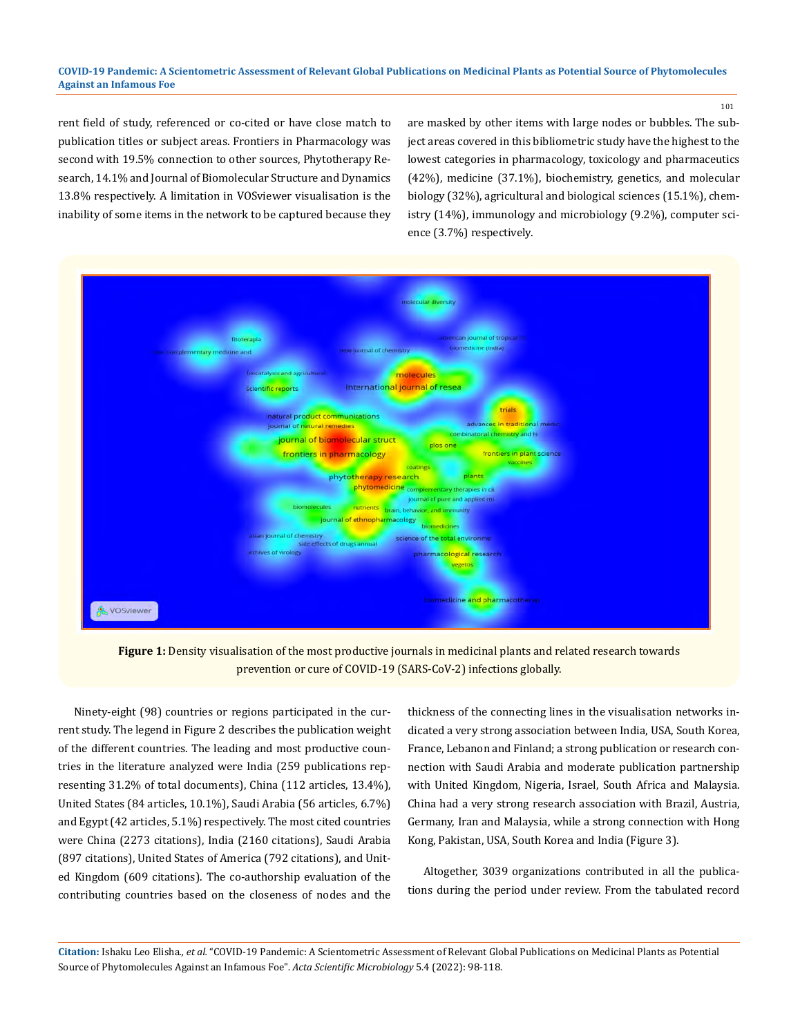101

rent field of study, referenced or co-cited or have close match to publication titles or subject areas. Frontiers in Pharmacology was second with 19.5% connection to other sources, Phytotherapy Research, 14.1% and Journal of Biomolecular Structure and Dynamics 13.8% respectively. A limitation in VOSviewer visualisation is the inability of some items in the network to be captured because they are masked by other items with large nodes or bubbles. The subject areas covered in this bibliometric study have the highest to the lowest categories in pharmacology, toxicology and pharmaceutics (42%), medicine (37.1%), biochemistry, genetics, and molecular biology (32%), agricultural and biological sciences (15.1%), chemistry (14%), immunology and microbiology (9.2%), computer science (3.7%) respectively.



Figure 1: Density visualisation of the most productive journals in medicinal plants and related research towards prevention or cure of COVID-19 (SARS-CoV-2) infections globally.

Ninety-eight (98) countries or regions participated in the current study. The legend in Figure 2 describes the publication weight of the different countries. The leading and most productive countries in the literature analyzed were India (259 publications representing 31.2% of total documents), China (112 articles, 13.4%), United States (84 articles, 10.1%), Saudi Arabia (56 articles, 6.7%) and Egypt (42 articles, 5.1%) respectively. The most cited countries were China (2273 citations), India (2160 citations), Saudi Arabia (897 citations), United States of America (792 citations), and United Kingdom (609 citations). The co-authorship evaluation of the contributing countries based on the closeness of nodes and the

thickness of the connecting lines in the visualisation networks indicated a very strong association between India, USA, South Korea, France, Lebanon and Finland; a strong publication or research connection with Saudi Arabia and moderate publication partnership with United Kingdom, Nigeria, Israel, South Africa and Malaysia. China had a very strong research association with Brazil, Austria, Germany, Iran and Malaysia, while a strong connection with Hong Kong, Pakistan, USA, South Korea and India (Figure 3).

Altogether, 3039 organizations contributed in all the publications during the period under review. From the tabulated record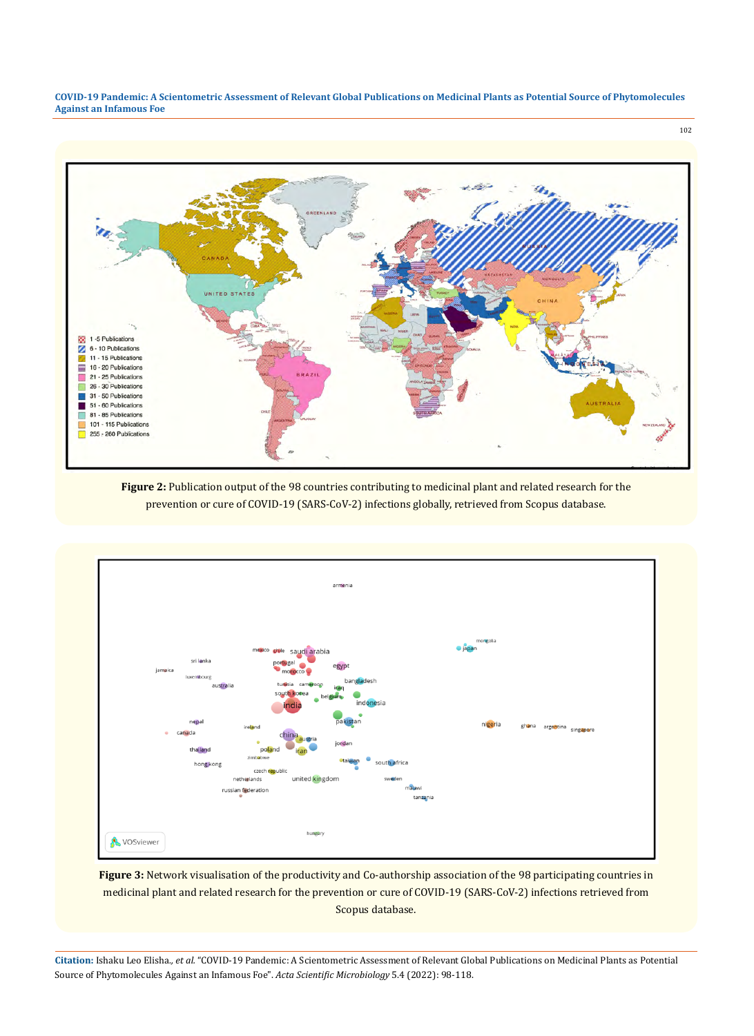

**Figure 2:** Publication output of the 98 countries contributing to medicinal plant and related research for the prevention or cure of COVID-19 (SARS-CoV-2) infections globally, retrieved from Scopus database.



**Figure 3:** Network visualisation of the productivity and Co-authorship association of the 98 participating countries in medicinal plant and related research for the prevention or cure of COVID-19 (SARS-CoV-2) infections retrieved from Scopus database.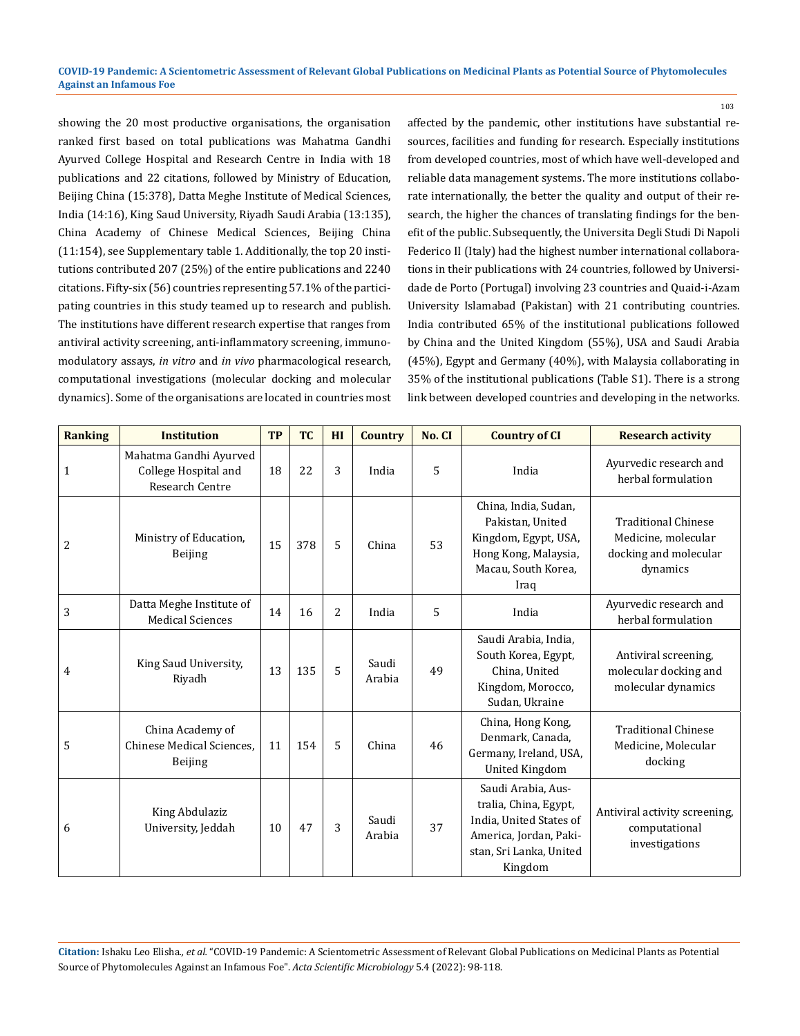showing the 20 most productive organisations, the organisation ranked first based on total publications was Mahatma Gandhi Ayurved College Hospital and Research Centre in India with 18 publications and 22 citations, followed by Ministry of Education, Beijing China (15:378), Datta Meghe Institute of Medical Sciences, India (14:16), King Saud University, Riyadh Saudi Arabia (13:135), China Academy of Chinese Medical Sciences, Beijing China (11:154), see Supplementary table 1. Additionally, the top 20 institutions contributed 207 (25%) of the entire publications and 2240 citations. Fifty-six (56) countries representing 57.1% of the participating countries in this study teamed up to research and publish. The institutions have different research expertise that ranges from antiviral activity screening, anti-inflammatory screening, immunomodulatory assays, *in vitro* and *in vivo* pharmacological research, computational investigations (molecular docking and molecular dynamics). Some of the organisations are located in countries most affected by the pandemic, other institutions have substantial resources, facilities and funding for research. Especially institutions from developed countries, most of which have well-developed and reliable data management systems. The more institutions collaborate internationally, the better the quality and output of their research, the higher the chances of translating findings for the benefit of the public. Subsequently, the Universita Degli Studi Di Napoli Federico II (Italy) had the highest number international collaborations in their publications with 24 countries, followed by Universidade de Porto (Portugal) involving 23 countries and Quaid-i-Azam University Islamabad (Pakistan) with 21 contributing countries. India contributed 65% of the institutional publications followed by China and the United Kingdom (55%), USA and Saudi Arabia (45%), Egypt and Germany (40%), with Malaysia collaborating in 35% of the institutional publications (Table S1). There is a strong link between developed countries and developing in the networks.

103

| <b>Ranking</b> | <b>Institution</b>                                                       | <b>TP</b> | <b>TC</b> | HI             | <b>Country</b>  | No. CI | <b>Country of CI</b>                                                                                                                   | <b>Research activity</b>                                                               |
|----------------|--------------------------------------------------------------------------|-----------|-----------|----------------|-----------------|--------|----------------------------------------------------------------------------------------------------------------------------------------|----------------------------------------------------------------------------------------|
| $\mathbf{1}$   | Mahatma Gandhi Ayurved<br>College Hospital and<br><b>Research Centre</b> | 18        | 22        | 3              | India           | 5      | India                                                                                                                                  | Ayurvedic research and<br>herbal formulation                                           |
| $\overline{c}$ | Ministry of Education,<br>Beijing                                        | 15        | 378       | 5              | China           | 53     | China, India, Sudan,<br>Pakistan, United<br>Kingdom, Egypt, USA,<br>Hong Kong, Malaysia,<br>Macau, South Korea,<br>Iraq                | <b>Traditional Chinese</b><br>Medicine, molecular<br>docking and molecular<br>dynamics |
| 3              | Datta Meghe Institute of<br><b>Medical Sciences</b>                      | 14        | 16        | $\overline{c}$ | India           | 5      | India                                                                                                                                  | Ayurvedic research and<br>herbal formulation                                           |
| 4              | King Saud University,<br>Riyadh                                          | 13        | 135       | 5              | Saudi<br>Arabia | 49     | Saudi Arabia, India,<br>South Korea, Egypt,<br>China, United<br>Kingdom, Morocco,<br>Sudan, Ukraine                                    | Antiviral screening,<br>molecular docking and<br>molecular dynamics                    |
| 5              | China Academy of<br>Chinese Medical Sciences.<br><b>Beijing</b>          | 11        | 154       | 5              | China           | 46     | China, Hong Kong,<br>Denmark, Canada,<br>Germany, Ireland, USA,<br><b>United Kingdom</b>                                               | <b>Traditional Chinese</b><br>Medicine, Molecular<br>docking                           |
| 6              | King Abdulaziz<br>University, Jeddah                                     | 10        | 47        | 3              | Saudi<br>Arabia | 37     | Saudi Arabia, Aus-<br>tralia, China, Egypt,<br>India, United States of<br>America, Jordan, Paki-<br>stan, Sri Lanka, United<br>Kingdom | Antiviral activity screening,<br>computational<br>investigations                       |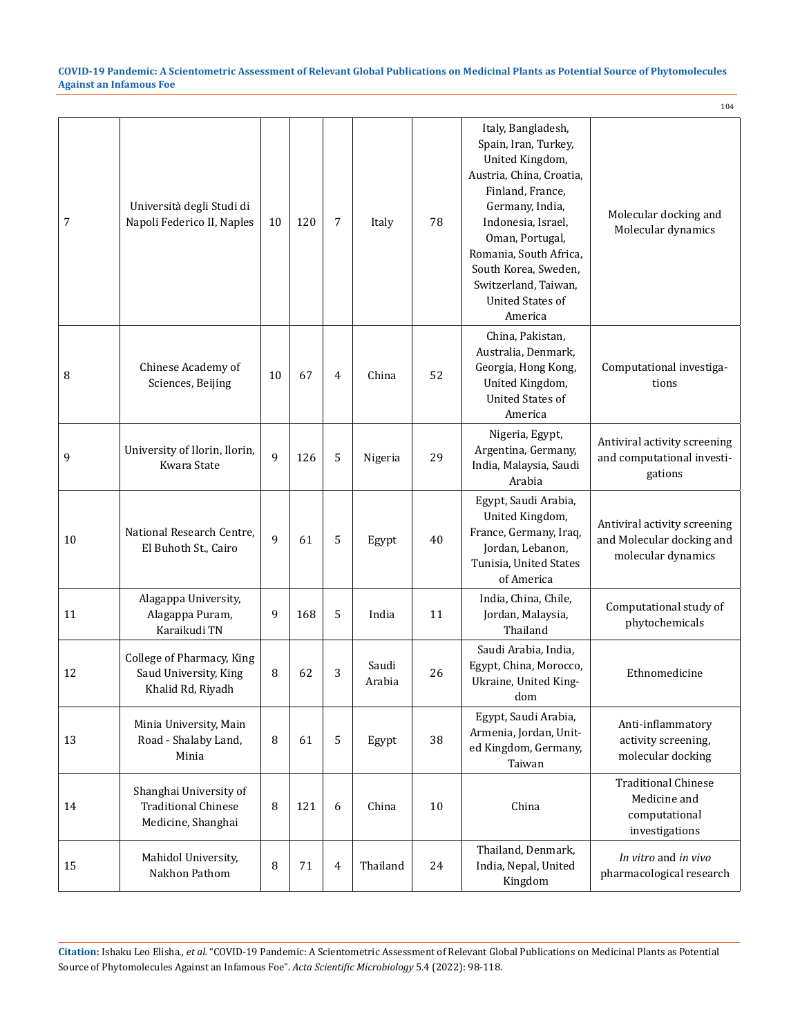|    |                                                                            |              |     |                |                 |    |                                                                                                                                                                                                                                                                                           | 104                                                                             |
|----|----------------------------------------------------------------------------|--------------|-----|----------------|-----------------|----|-------------------------------------------------------------------------------------------------------------------------------------------------------------------------------------------------------------------------------------------------------------------------------------------|---------------------------------------------------------------------------------|
| 7  | Università degli Studi di<br>Napoli Federico II, Naples                    | 10           | 120 | 7              | Italy           | 78 | Italy, Bangladesh,<br>Spain, Iran, Turkey,<br>United Kingdom,<br>Austria, China, Croatia,<br>Finland, France,<br>Germany, India,<br>Indonesia, Israel,<br>Oman, Portugal,<br>Romania, South Africa,<br>South Korea, Sweden,<br>Switzerland, Taiwan,<br><b>United States of</b><br>America | Molecular docking and<br>Molecular dynamics                                     |
| 8  | Chinese Academy of<br>Sciences, Beijing                                    | 10           | 67  | 4              | China           | 52 | China, Pakistan,<br>Australia, Denmark,<br>Georgia, Hong Kong,<br>United Kingdom,<br><b>United States of</b><br>America                                                                                                                                                                   | Computational investiga-<br>tions                                               |
| 9  | University of Ilorin, Ilorin,<br>Kwara State                               | 9            | 126 | 5              | Nigeria         | 29 | Nigeria, Egypt,<br>Argentina, Germany,<br>India, Malaysia, Saudi<br>Arabia                                                                                                                                                                                                                | Antiviral activity screening<br>and computational investi-<br>gations           |
| 10 | National Research Centre,<br>El Buhoth St., Cairo                          | $\mathbf{q}$ | 61  | 5              | Egypt           | 40 | Egypt, Saudi Arabia,<br>United Kingdom,<br>France, Germany, Iraq,<br>Jordan, Lebanon,<br>Tunisia, United States<br>of America                                                                                                                                                             | Antiviral activity screening<br>and Molecular docking and<br>molecular dynamics |
| 11 | Alagappa University,<br>Alagappa Puram,<br>Karaikudi TN                    | 9            | 168 | 5              | India           | 11 | India, China, Chile,<br>Jordan, Malaysia,<br>Thailand                                                                                                                                                                                                                                     | Computational study of<br>phytochemicals                                        |
| 12 | College of Pharmacy, King<br>Saud University, King<br>Khalid Rd, Riyadh    | 8            | 62  | 3              | Saudi<br>Arabia | 26 | Saudi Arabia, India,<br>Egypt, China, Morocco,<br>Ukraine, United King-<br>dom                                                                                                                                                                                                            | Ethnomedicine                                                                   |
| 13 | Minia University, Main<br>Road - Shalaby Land,<br>Minia                    | 8            | 61  | 5              | Egypt           | 38 | Egypt, Saudi Arabia,<br>Armenia, Jordan, Unit-<br>ed Kingdom, Germany,<br>Taiwan                                                                                                                                                                                                          | Anti-inflammatory<br>activity screening,<br>molecular docking                   |
| 14 | Shanghai University of<br><b>Traditional Chinese</b><br>Medicine, Shanghai | 8            | 121 | 6              | China           | 10 | China                                                                                                                                                                                                                                                                                     | <b>Traditional Chinese</b><br>Medicine and<br>computational<br>investigations   |
| 15 | Mahidol University,<br>Nakhon Pathom                                       | 8            | 71  | $\overline{4}$ | Thailand        | 24 | Thailand, Denmark,<br>India, Nepal, United<br>Kingdom                                                                                                                                                                                                                                     | In vitro and in vivo<br>pharmacological research                                |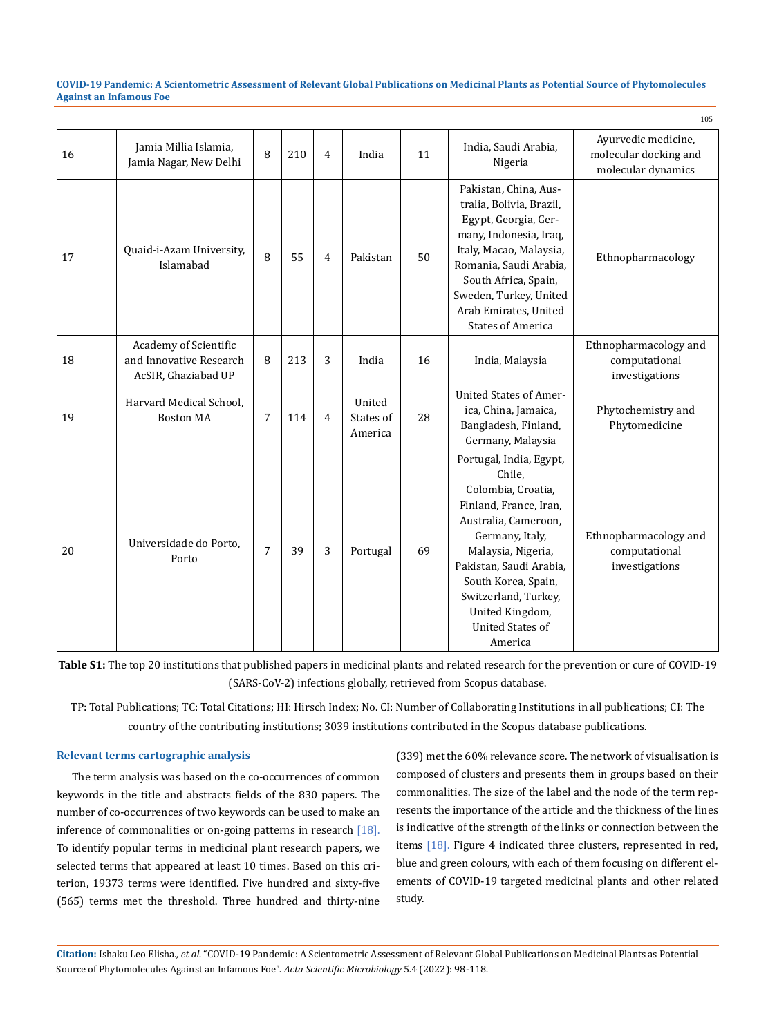| 16 | Jamia Millia Islamia,<br>Jamia Nagar, New Delhi                         | 8              | 210 | $\overline{4}$ | India                          | 11 | India, Saudi Arabia,<br>Nigeria                                                                                                                                                                                                                                                       | Ayurvedic medicine,<br>molecular docking and<br>molecular dynamics |
|----|-------------------------------------------------------------------------|----------------|-----|----------------|--------------------------------|----|---------------------------------------------------------------------------------------------------------------------------------------------------------------------------------------------------------------------------------------------------------------------------------------|--------------------------------------------------------------------|
| 17 | Quaid-i-Azam University,<br>Islamabad                                   | 8              | 55  | $\overline{4}$ | Pakistan                       | 50 | Pakistan, China, Aus-<br>tralia, Bolivia, Brazil,<br>Egypt, Georgia, Ger-<br>many, Indonesia, Iraq,<br>Italy, Macao, Malaysia,<br>Romania, Saudi Arabia,<br>South Africa, Spain,<br>Sweden, Turkey, United<br>Arab Emirates, United<br><b>States of America</b>                       | Ethnopharmacology                                                  |
| 18 | Academy of Scientific<br>and Innovative Research<br>AcSIR, Ghaziabad UP | 8              | 213 | 3              | India                          | 16 | India, Malaysia                                                                                                                                                                                                                                                                       | Ethnopharmacology and<br>computational<br>investigations           |
| 19 | Harvard Medical School.<br><b>Boston MA</b>                             | $\overline{7}$ | 114 | $\overline{4}$ | United<br>States of<br>America | 28 | <b>United States of Amer-</b><br>ica, China, Jamaica,<br>Bangladesh, Finland,<br>Germany, Malaysia                                                                                                                                                                                    | Phytochemistry and<br>Phytomedicine                                |
| 20 | Universidade do Porto.<br>Porto                                         | 7              | 39  | 3              | Portugal                       | 69 | Portugal, India, Egypt,<br>Chile,<br>Colombia, Croatia,<br>Finland, France, Iran,<br>Australia, Cameroon,<br>Germany, Italy,<br>Malaysia, Nigeria,<br>Pakistan, Saudi Arabia,<br>South Korea, Spain,<br>Switzerland, Turkey,<br>United Kingdom,<br><b>United States of</b><br>America | Ethnopharmacology and<br>computational<br>investigations           |

**Table S1:** The top 20 institutions that published papers in medicinal plants and related research for the prevention or cure of COVID-19 (SARS-CoV-2) infections globally, retrieved from Scopus database.

TP: Total Publications; TC: Total Citations; HI: Hirsch Index; No. CI: Number of Collaborating Institutions in all publications; CI: The country of the contributing institutions; 3039 institutions contributed in the Scopus database publications.

### **Relevant terms cartographic analysis**

The term analysis was based on the co-occurrences of common keywords in the title and abstracts fields of the 830 papers. The number of co-occurrences of two keywords can be used to make an inference of commonalities or on-going patterns in research [18]. To identify popular terms in medicinal plant research papers, we selected terms that appeared at least 10 times. Based on this criterion, 19373 terms were identified. Five hundred and sixty-five (565) terms met the threshold. Three hundred and thirty-nine (339) met the 60% relevance score. The network of visualisation is composed of clusters and presents them in groups based on their commonalities. The size of the label and the node of the term represents the importance of the article and the thickness of the lines is indicative of the strength of the links or connection between the items [18]. Figure 4 indicated three clusters, represented in red, blue and green colours, with each of them focusing on different elements of COVID-19 targeted medicinal plants and other related study.

105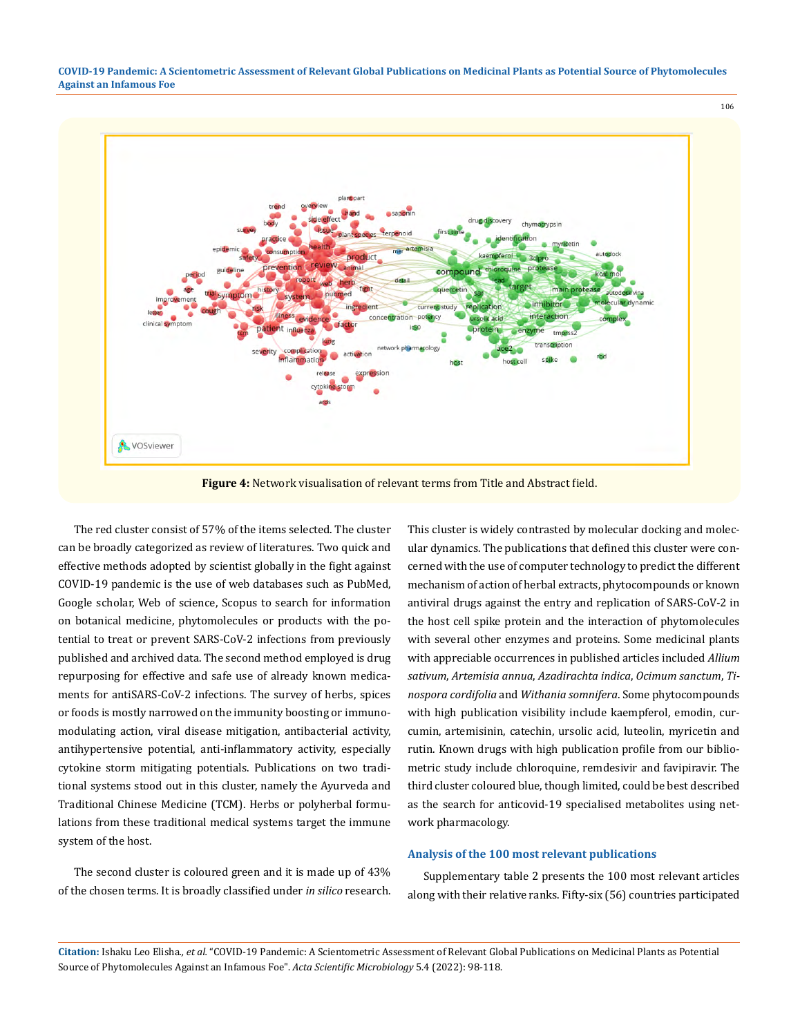

**Figure 4:** Network visualisation of relevant terms from Title and Abstract field.

The red cluster consist of 57% of the items selected. The cluster can be broadly categorized as review of literatures. Two quick and effective methods adopted by scientist globally in the fight against COVID-19 pandemic is the use of web databases such as PubMed, Google scholar, Web of science, Scopus to search for information on botanical medicine, phytomolecules or products with the potential to treat or prevent SARS-CoV-2 infections from previously published and archived data. The second method employed is drug repurposing for effective and safe use of already known medicaments for antiSARS-CoV-2 infections. The survey of herbs, spices or foods is mostly narrowed on the immunity boosting or immunomodulating action, viral disease mitigation, antibacterial activity, antihypertensive potential, anti-inflammatory activity, especially cytokine storm mitigating potentials. Publications on two traditional systems stood out in this cluster, namely the Ayurveda and Traditional Chinese Medicine (TCM). Herbs or polyherbal formulations from these traditional medical systems target the immune system of the host.

The second cluster is coloured green and it is made up of 43% of the chosen terms. It is broadly classified under *in silico* research. This cluster is widely contrasted by molecular docking and molecular dynamics. The publications that defined this cluster were concerned with the use of computer technology to predict the different mechanism of action of herbal extracts, phytocompounds or known antiviral drugs against the entry and replication of SARS-CoV-2 in the host cell spike protein and the interaction of phytomolecules with several other enzymes and proteins. Some medicinal plants with appreciable occurrences in published articles included *Allium sativum*, *Artemisia annua*, *Azadirachta indica*, *Ocimum sanctum*, *Tinospora cordifolia* and *Withania somnifera*. Some phytocompounds with high publication visibility include kaempferol, emodin, curcumin, artemisinin, catechin, ursolic acid, luteolin, myricetin and rutin. Known drugs with high publication profile from our bibliometric study include chloroquine, remdesivir and favipiravir. The third cluster coloured blue, though limited, could be best described as the search for anticovid-19 specialised metabolites using network pharmacology.

106

### **Analysis of the 100 most relevant publications**

Supplementary table 2 presents the 100 most relevant articles along with their relative ranks. Fifty-six (56) countries participated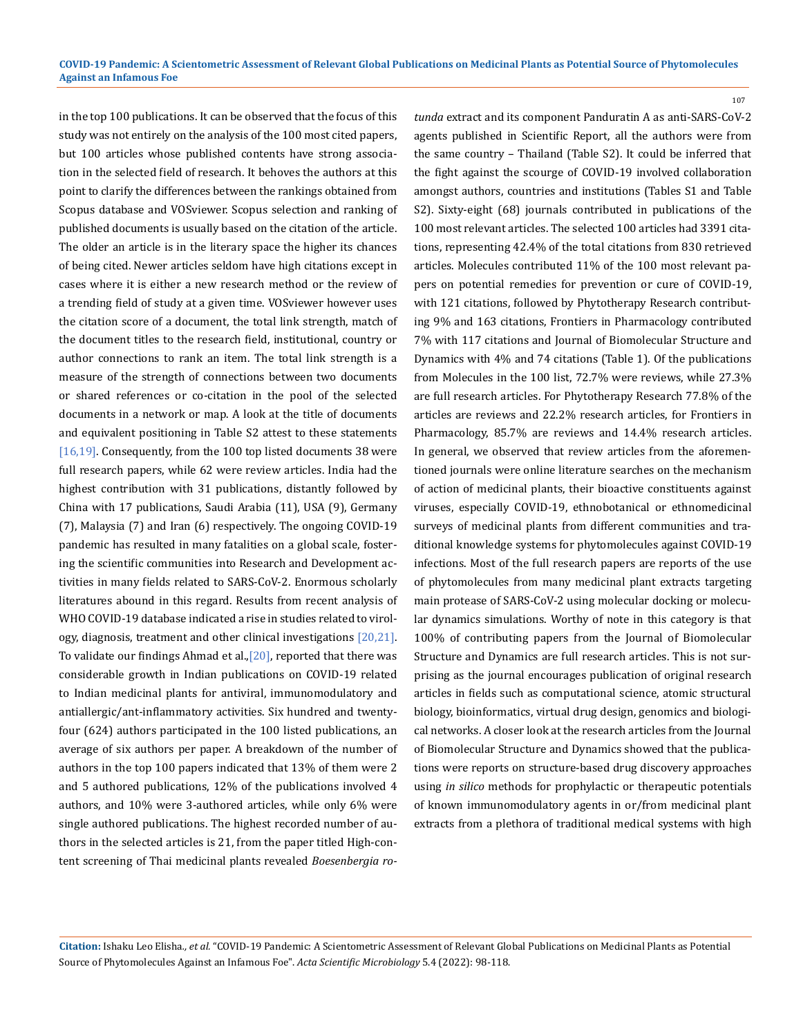in the top 100 publications. It can be observed that the focus of this study was not entirely on the analysis of the 100 most cited papers, but 100 articles whose published contents have strong association in the selected field of research. It behoves the authors at this point to clarify the differences between the rankings obtained from Scopus database and VOSviewer. Scopus selection and ranking of published documents is usually based on the citation of the article. The older an article is in the literary space the higher its chances of being cited. Newer articles seldom have high citations except in cases where it is either a new research method or the review of a trending field of study at a given time. VOSviewer however uses the citation score of a document, the total link strength, match of the document titles to the research field, institutional, country or author connections to rank an item. The total link strength is a measure of the strength of connections between two documents or shared references or co-citation in the pool of the selected documents in a network or map. A look at the title of documents and equivalent positioning in Table S2 attest to these statements [16,19]. Consequently, from the 100 top listed documents 38 were full research papers, while 62 were review articles. India had the highest contribution with 31 publications, distantly followed by China with 17 publications, Saudi Arabia (11), USA (9), Germany (7), Malaysia (7) and Iran (6) respectively. The ongoing COVID-19 pandemic has resulted in many fatalities on a global scale, fostering the scientific communities into Research and Development activities in many fields related to SARS-CoV-2. Enormous scholarly literatures abound in this regard. Results from recent analysis of WHO COVID-19 database indicated a rise in studies related to virology, diagnosis, treatment and other clinical investigations [20,21]. To validate our findings Ahmad et al., $[20]$ , reported that there was considerable growth in Indian publications on COVID-19 related to Indian medicinal plants for antiviral, immunomodulatory and antiallergic/ant-inflammatory activities. Six hundred and twentyfour (624) authors participated in the 100 listed publications, an average of six authors per paper. A breakdown of the number of authors in the top 100 papers indicated that 13% of them were 2 and 5 authored publications, 12% of the publications involved 4 authors, and 10% were 3-authored articles, while only 6% were single authored publications. The highest recorded number of authors in the selected articles is 21, from the paper titled High-content screening of Thai medicinal plants revealed *Boesenbergia ro-* *tunda* extract and its component Panduratin A as anti-SARS-CoV-2 agents published in Scientific Report, all the authors were from the same country – Thailand (Table S2). It could be inferred that the fight against the scourge of COVID-19 involved collaboration amongst authors, countries and institutions (Tables S1 and Table S2). Sixty-eight (68) journals contributed in publications of the 100 most relevant articles. The selected 100 articles had 3391 citations, representing 42.4% of the total citations from 830 retrieved articles. Molecules contributed 11% of the 100 most relevant papers on potential remedies for prevention or cure of COVID-19, with 121 citations, followed by Phytotherapy Research contributing 9% and 163 citations, Frontiers in Pharmacology contributed 7% with 117 citations and Journal of Biomolecular Structure and Dynamics with 4% and 74 citations (Table 1). Of the publications from Molecules in the 100 list, 72.7% were reviews, while 27.3% are full research articles. For Phytotherapy Research 77.8% of the articles are reviews and 22.2% research articles, for Frontiers in Pharmacology, 85.7% are reviews and 14.4% research articles. In general, we observed that review articles from the aforementioned journals were online literature searches on the mechanism of action of medicinal plants, their bioactive constituents against viruses, especially COVID-19, ethnobotanical or ethnomedicinal surveys of medicinal plants from different communities and traditional knowledge systems for phytomolecules against COVID-19 infections. Most of the full research papers are reports of the use of phytomolecules from many medicinal plant extracts targeting main protease of SARS-CoV-2 using molecular docking or molecular dynamics simulations. Worthy of note in this category is that 100% of contributing papers from the Journal of Biomolecular Structure and Dynamics are full research articles. This is not surprising as the journal encourages publication of original research articles in fields such as computational science, atomic structural biology, bioinformatics, virtual drug design, genomics and biological networks. A closer look at the research articles from the Journal of Biomolecular Structure and Dynamics showed that the publications were reports on structure-based drug discovery approaches using *in silico* methods for prophylactic or therapeutic potentials of known immunomodulatory agents in or/from medicinal plant extracts from a plethora of traditional medical systems with high

107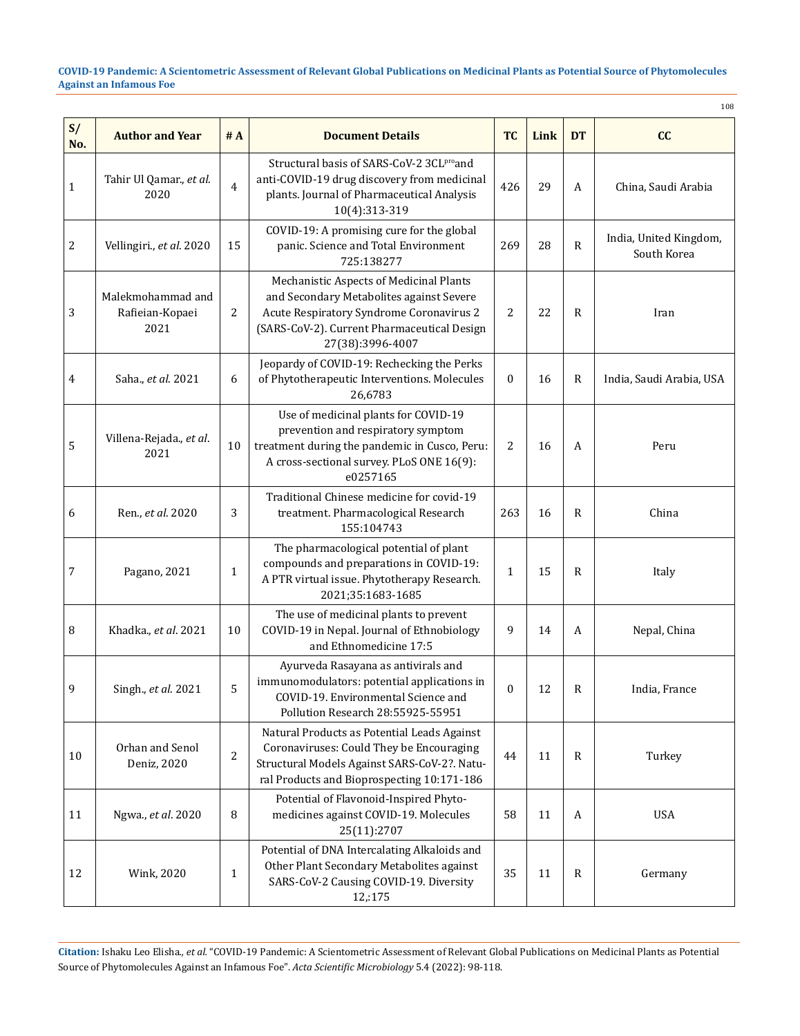108

| S/<br>No.    | <b>Author and Year</b>                       | #A             | <b>Document Details</b>                                                                                                                                                                            | <b>TC</b>      | Link | <b>DT</b>    | cc                                    |
|--------------|----------------------------------------------|----------------|----------------------------------------------------------------------------------------------------------------------------------------------------------------------------------------------------|----------------|------|--------------|---------------------------------------|
| $\mathbf{1}$ | Tahir Ul Qamar., et al.<br>2020              | $\overline{4}$ | Structural basis of SARS-CoV-2 3CLProand<br>anti-COVID-19 drug discovery from medicinal<br>plants. Journal of Pharmaceutical Analysis<br>10(4):313-319                                             | 426            | 29   | A            | China, Saudi Arabia                   |
| 2            | Vellingiri., et al. 2020                     | 15             | COVID-19: A promising cure for the global<br>panic. Science and Total Environment<br>725:138277                                                                                                    | 269            | 28   | $\mathbb{R}$ | India, United Kingdom,<br>South Korea |
| 3            | Malekmohammad and<br>Rafieian-Kopaei<br>2021 | 2              | Mechanistic Aspects of Medicinal Plants<br>and Secondary Metabolites against Severe<br>Acute Respiratory Syndrome Coronavirus 2<br>(SARS-CoV-2). Current Pharmaceutical Design<br>27(38):3996-4007 | 2              | 22   | R            | Iran                                  |
| 4            | Saha., et al. 2021                           | 6              | Jeopardy of COVID-19: Rechecking the Perks<br>of Phytotherapeutic Interventions. Molecules<br>26,6783                                                                                              | $\mathbf{0}$   | 16   | R            | India, Saudi Arabia, USA              |
| 5            | Villena-Rejada., et al.<br>2021              | 10             | Use of medicinal plants for COVID-19<br>prevention and respiratory symptom<br>treatment during the pandemic in Cusco, Peru:<br>A cross-sectional survey. PLoS ONE 16(9):<br>e0257165               | $\overline{2}$ | 16   | A            | Peru                                  |
| 6            | Ren., et al. 2020                            | 3              | Traditional Chinese medicine for covid-19<br>treatment. Pharmacological Research<br>155:104743                                                                                                     | 263            | 16   | R            | China                                 |
| 7            | Pagano, 2021                                 | 1              | The pharmacological potential of plant<br>compounds and preparations in COVID-19:<br>A PTR virtual issue. Phytotherapy Research.<br>2021;35:1683-1685                                              | $\mathbf{1}$   | 15   | $\mathbb{R}$ | Italy                                 |
| 8            | Khadka., et al. 2021                         | 10             | The use of medicinal plants to prevent<br>COVID-19 in Nepal. Journal of Ethnobiology<br>and Ethnomedicine 17:5                                                                                     | 9              | 14   | A            | Nepal, China                          |
| 9            | Singh., et al. 2021                          | 5              | Ayurveda Rasayana as antivirals and<br>immunomodulators: potential applications in<br>COVID-19. Environmental Science and<br>Pollution Research 28:55925-55951                                     | $\mathbf{0}$   | 12   | R            | India, France                         |
| 10           | Orhan and Senol<br>Deniz, 2020               | 2              | Natural Products as Potential Leads Against<br>Coronaviruses: Could They be Encouraging<br>Structural Models Against SARS-CoV-2?. Natu-<br>ral Products and Bioprospecting 10:171-186              | 44             | 11   | R            | Turkey                                |
| 11           | Ngwa., et al. 2020                           | 8              | Potential of Flavonoid-Inspired Phyto-<br>medicines against COVID-19. Molecules<br>25(11):2707                                                                                                     | 58             | 11   | A            | <b>USA</b>                            |
| 12           | Wink, 2020                                   | 1              | Potential of DNA Intercalating Alkaloids and<br>Other Plant Secondary Metabolites against<br>SARS-CoV-2 Causing COVID-19. Diversity<br>12,:175                                                     | 35             | 11   | $\mathbb{R}$ | Germany                               |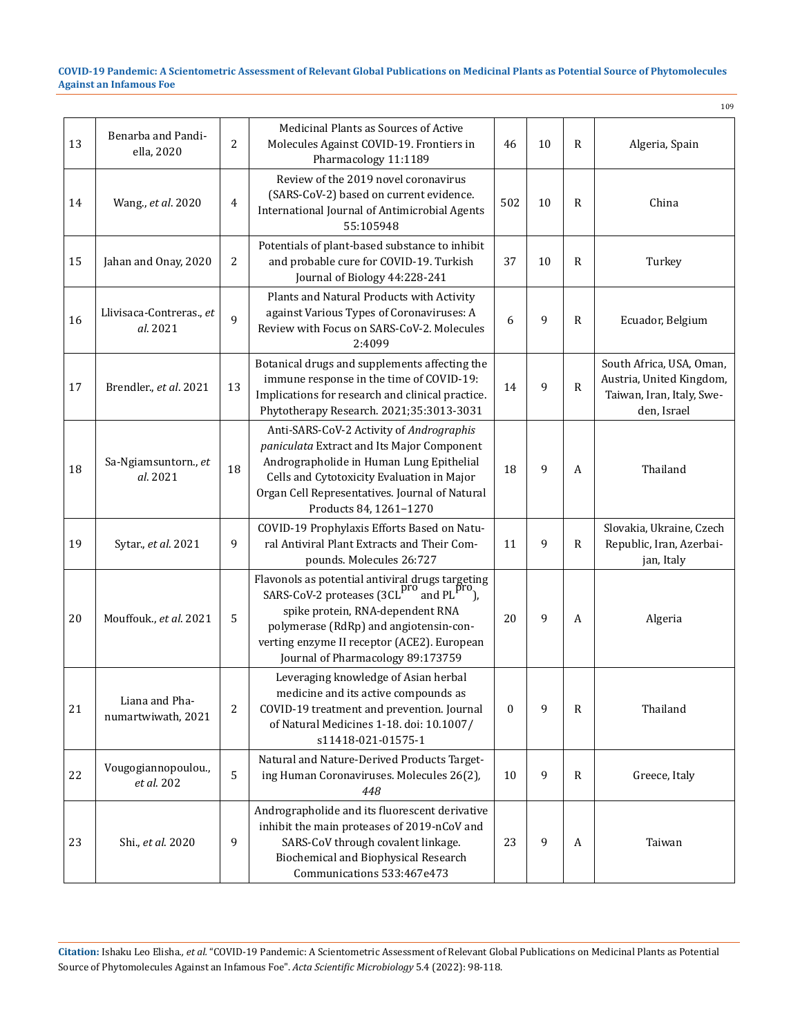|    |                                      |                |                                                                                                                                                                                                                                                                  |              |    |              | 109                                                                                              |
|----|--------------------------------------|----------------|------------------------------------------------------------------------------------------------------------------------------------------------------------------------------------------------------------------------------------------------------------------|--------------|----|--------------|--------------------------------------------------------------------------------------------------|
| 13 | Benarba and Pandi-<br>ella, 2020     | $\overline{c}$ | Medicinal Plants as Sources of Active<br>Molecules Against COVID-19. Frontiers in<br>Pharmacology 11:1189                                                                                                                                                        | 46           | 10 | R            | Algeria, Spain                                                                                   |
| 14 | Wang., et al. 2020                   | 4              | Review of the 2019 novel coronavirus<br>(SARS-CoV-2) based on current evidence.<br>International Journal of Antimicrobial Agents<br>55:105948                                                                                                                    | 502          | 10 | $\mathbb{R}$ | China                                                                                            |
| 15 | Jahan and Onay, 2020                 | 2              | Potentials of plant-based substance to inhibit<br>and probable cure for COVID-19. Turkish<br>Journal of Biology 44:228-241                                                                                                                                       | 37           | 10 | R            | Turkey                                                                                           |
| 16 | Llivisaca-Contreras., et<br>al. 2021 | $\mathsf{q}$   | Plants and Natural Products with Activity<br>against Various Types of Coronaviruses: A<br>Review with Focus on SARS-CoV-2. Molecules<br>2:4099                                                                                                                   | 6            | 9  | R            | Ecuador, Belgium                                                                                 |
| 17 | Brendler., et al. 2021               | 13             | Botanical drugs and supplements affecting the<br>immune response in the time of COVID-19:<br>Implications for research and clinical practice.<br>Phytotherapy Research. 2021;35:3013-3031                                                                        | 14           | 9  | $\mathbb{R}$ | South Africa, USA, Oman,<br>Austria, United Kingdom,<br>Taiwan, Iran, Italy, Swe-<br>den, Israel |
| 18 | Sa-Ngiamsuntorn., et<br>al. 2021     | 18             | Anti-SARS-CoV-2 Activity of Andrographis<br>paniculata Extract and Its Major Component<br>Andrographolide in Human Lung Epithelial<br>Cells and Cytotoxicity Evaluation in Major<br>Organ Cell Representatives. Journal of Natural<br>Products 84, 1261-1270     | 18           | 9  | A            | Thailand                                                                                         |
| 19 | Sytar., et al. 2021                  | 9              | COVID-19 Prophylaxis Efforts Based on Natu-<br>ral Antiviral Plant Extracts and Their Com-<br>pounds. Molecules 26:727                                                                                                                                           | 11           | 9  | $\mathbb{R}$ | Slovakia, Ukraine, Czech<br>Republic, Iran, Azerbai-<br>jan, Italy                               |
| 20 | Mouffouk., et al. 2021               | 5              | Flavonols as potential antiviral drugs targeting<br>SARS-CoV-2 proteases (3CL pro and PL pro),<br>spike protein, RNA-dependent RNA<br>polymerase (RdRp) and angiotensin-con-<br>verting enzyme II receptor (ACE2). European<br>Journal of Pharmacology 89:173759 | 20           | 9  | A            | Algeria                                                                                          |
| 21 | Liana and Pha-<br>numartwiwath, 2021 | 2              | Leveraging knowledge of Asian herbal<br>medicine and its active compounds as<br>COVID-19 treatment and prevention. Journal<br>of Natural Medicines 1-18. doi: 10.1007/<br>s11418-021-01575-1                                                                     | $\mathbf{0}$ | 9  | $\mathbf R$  | Thailand                                                                                         |
| 22 | Vougogiannopoulou.,<br>et al. 202    | 5              | Natural and Nature-Derived Products Target-<br>ing Human Coronaviruses. Molecules 26(2),<br>448                                                                                                                                                                  | 10           | 9  | $\mathbf R$  | Greece, Italy                                                                                    |
| 23 | Shi., et al. 2020                    | 9              | Andrographolide and its fluorescent derivative<br>inhibit the main proteases of 2019-nCoV and<br>SARS-CoV through covalent linkage.<br>Biochemical and Biophysical Research<br>Communications 533:467e473                                                        | 23           | 9  | A            | Taiwan                                                                                           |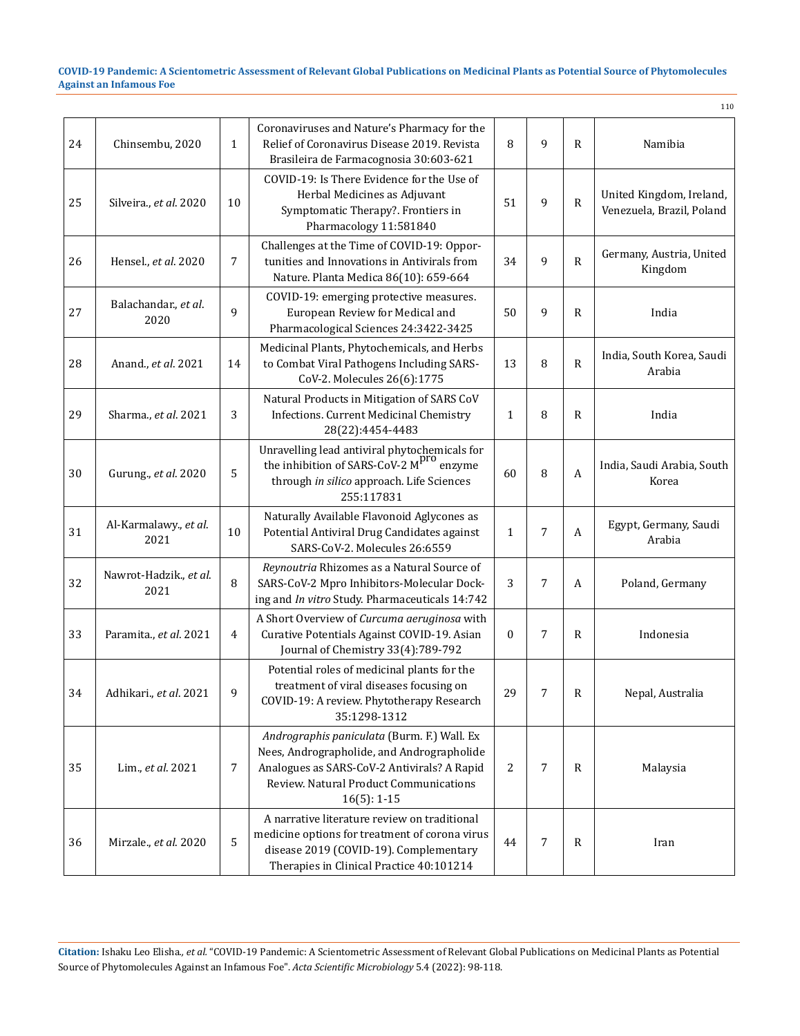|    |                                |              |                                                                                                                                                                                                     |              |   |                  | 110                                                   |
|----|--------------------------------|--------------|-----------------------------------------------------------------------------------------------------------------------------------------------------------------------------------------------------|--------------|---|------------------|-------------------------------------------------------|
| 24 | Chinsembu, 2020                | $\mathbf{1}$ | Coronaviruses and Nature's Pharmacy for the<br>Relief of Coronavirus Disease 2019. Revista<br>Brasileira de Farmacognosia 30:603-621                                                                | 8            | 9 | $\mathbb{R}$     | Namibia                                               |
| 25 | Silveira., et al. 2020         | 10           | COVID-19: Is There Evidence for the Use of<br>Herbal Medicines as Adjuvant<br>Symptomatic Therapy?. Frontiers in<br>Pharmacology 11:581840                                                          | 51           | 9 | R                | United Kingdom, Ireland,<br>Venezuela, Brazil, Poland |
| 26 | Hensel., et al. 2020           | 7            | Challenges at the Time of COVID-19: Oppor-<br>tunities and Innovations in Antivirals from<br>Nature. Planta Medica 86(10): 659-664                                                                  | 34           | 9 | $\mathbb{R}$     | Germany, Austria, United<br>Kingdom                   |
| 27 | Balachandar., et al.<br>2020   | 9            | COVID-19: emerging protective measures.<br>European Review for Medical and<br>Pharmacological Sciences 24:3422-3425                                                                                 | 50           | 9 | $\mathbb{R}$     | India                                                 |
| 28 | Anand., et al. 2021            | 14           | Medicinal Plants, Phytochemicals, and Herbs<br>to Combat Viral Pathogens Including SARS-<br>CoV-2. Molecules 26(6):1775                                                                             | 13           | 8 | ${\sf R}$        | India, South Korea, Saudi<br>Arabia                   |
| 29 | Sharma., et al. 2021           | 3            | Natural Products in Mitigation of SARS CoV<br>Infections. Current Medicinal Chemistry<br>28(22):4454-4483                                                                                           | $\mathbf{1}$ | 8 | $\mathbb{R}$     | India                                                 |
| 30 | Gurung., et al. 2020           | 5            | Unravelling lead antiviral phytochemicals for<br>the inhibition of SARS-CoV-2 $Mpro$ enzyme<br>through in silico approach. Life Sciences<br>255:117831                                              | 60           | 8 | A                | India, Saudi Arabia, South<br>Korea                   |
| 31 | Al-Karmalawy., et al.<br>2021  | 10           | Naturally Available Flavonoid Aglycones as<br>Potential Antiviral Drug Candidates against<br>SARS-CoV-2. Molecules 26:6559                                                                          | $\mathbf{1}$ | 7 | $\boldsymbol{A}$ | Egypt, Germany, Saudi<br>Arabia                       |
| 32 | Nawrot-Hadzik., et al.<br>2021 | 8            | Reynoutria Rhizomes as a Natural Source of<br>SARS-CoV-2 Mpro Inhibitors-Molecular Dock-<br>ing and In vitro Study. Pharmaceuticals 14:742                                                          | 3            | 7 | А                | Poland, Germany                                       |
| 33 | Paramita., et al. 2021         | 4            | A Short Overview of Curcuma aeruginosa with<br>Curative Potentials Against COVID-19. Asian<br>Journal of Chemistry 33(4):789-792                                                                    | $\mathbf{0}$ | 7 | $\mathbb{R}$     | Indonesia                                             |
| 34 | Adhikari., et al. 2021         | 9            | Potential roles of medicinal plants for the<br>treatment of viral diseases focusing on<br>COVID-19: A review. Phytotherapy Research<br>35:1298-1312                                                 | 29           | 7 | $\mathbb{R}$     | Nepal, Australia                                      |
| 35 | Lim., et al. 2021              | 7            | Andrographis paniculata (Burm. F.) Wall. Ex<br>Nees, Andrographolide, and Andrographolide<br>Analogues as SARS-CoV-2 Antivirals? A Rapid<br>Review. Natural Product Communications<br>$16(5): 1-15$ | 2            | 7 | $\mathbf R$      | Malaysia                                              |
| 36 | Mirzale., et al. 2020          | 5            | A narrative literature review on traditional<br>medicine options for treatment of corona virus<br>disease 2019 (COVID-19). Complementary<br>Therapies in Clinical Practice 40:101214                | 44           | 7 | $\mathbf R$      | Iran                                                  |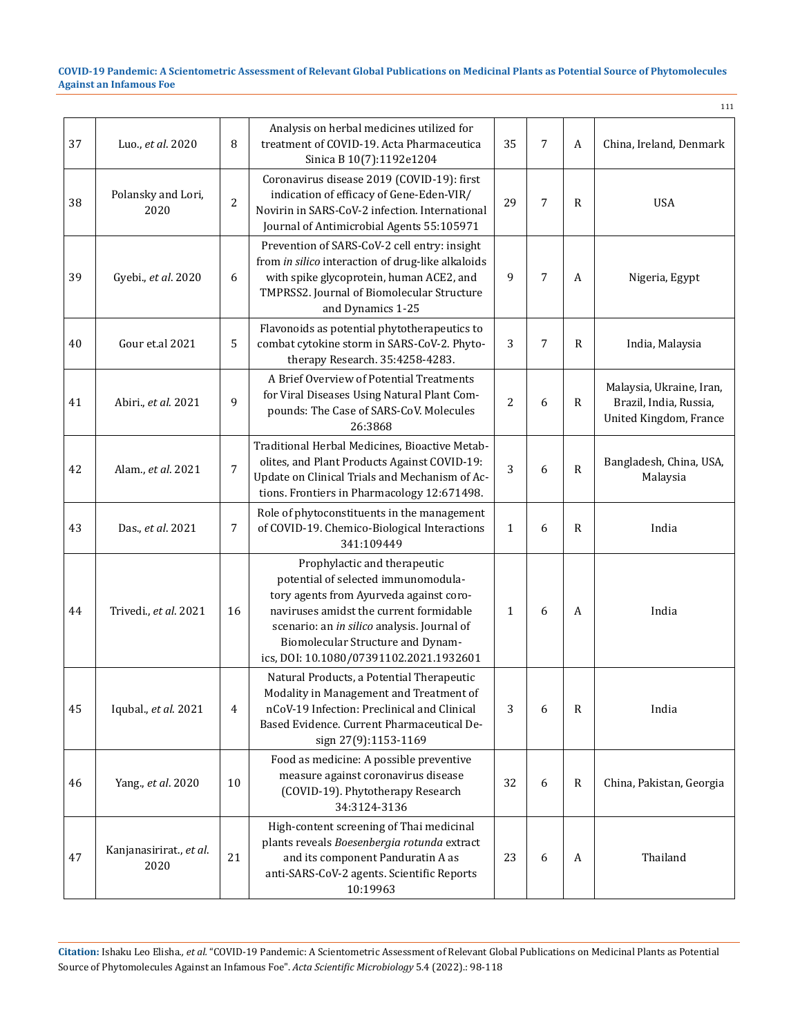|    |                                 |                |                                                                                                                                                                                                                                                                                          |                |   |              | 111                                                                          |
|----|---------------------------------|----------------|------------------------------------------------------------------------------------------------------------------------------------------------------------------------------------------------------------------------------------------------------------------------------------------|----------------|---|--------------|------------------------------------------------------------------------------|
| 37 | Luo., et al. 2020               | 8              | Analysis on herbal medicines utilized for<br>treatment of COVID-19. Acta Pharmaceutica<br>Sinica B 10(7):1192e1204                                                                                                                                                                       | 35             | 7 | A            | China, Ireland, Denmark                                                      |
| 38 | Polansky and Lori,<br>2020      | $\overline{2}$ | Coronavirus disease 2019 (COVID-19): first<br>indication of efficacy of Gene-Eden-VIR/<br>Novirin in SARS-CoV-2 infection. International<br>Journal of Antimicrobial Agents 55:105971                                                                                                    | 29             | 7 | $\mathbb{R}$ | <b>USA</b>                                                                   |
| 39 | Gyebi., et al. 2020             | 6              | Prevention of SARS-CoV-2 cell entry: insight<br>from in silico interaction of drug-like alkaloids<br>with spike glycoprotein, human ACE2, and<br>TMPRSS2. Journal of Biomolecular Structure<br>and Dynamics 1-25                                                                         | 9              | 7 | A            | Nigeria, Egypt                                                               |
| 40 | Gour et.al 2021                 | 5              | Flavonoids as potential phytotherapeutics to<br>combat cytokine storm in SARS-CoV-2. Phyto-<br>therapy Research. 35:4258-4283.                                                                                                                                                           | 3              | 7 | $\mathbb{R}$ | India, Malaysia                                                              |
| 41 | Abiri., et al. 2021             | 9              | A Brief Overview of Potential Treatments<br>for Viral Diseases Using Natural Plant Com-<br>pounds: The Case of SARS-CoV. Molecules<br>26:3868                                                                                                                                            | $\overline{2}$ | 6 | $\mathbb{R}$ | Malaysia, Ukraine, Iran,<br>Brazil, India, Russia,<br>United Kingdom, France |
| 42 | Alam., et al. 2021              | 7              | Traditional Herbal Medicines, Bioactive Metab-<br>olites, and Plant Products Against COVID-19:<br>Update on Clinical Trials and Mechanism of Ac-<br>tions. Frontiers in Pharmacology 12:671498.                                                                                          | 3              | 6 | ${\sf R}$    | Bangladesh, China, USA,<br>Malaysia                                          |
| 43 | Das., et al. 2021               | 7              | Role of phytoconstituents in the management<br>of COVID-19. Chemico-Biological Interactions<br>341:109449                                                                                                                                                                                | $\mathbf{1}$   | 6 | $\mathbb{R}$ | India                                                                        |
| 44 | Trivedi., et al. 2021           | 16             | Prophylactic and therapeutic<br>potential of selected immunomodula-<br>tory agents from Ayurveda against coro-<br>naviruses amidst the current formidable<br>scenario: an in silico analysis. Journal of<br>Biomolecular Structure and Dynam-<br>ics, DOI: 10.1080/07391102.2021.1932601 | $\mathbf{1}$   | 6 | A            | India                                                                        |
| 45 | Iqubal., et al. 2021            | 4              | Natural Products, a Potential Therapeutic<br>Modality in Management and Treatment of<br>nCoV-19 Infection: Preclinical and Clinical<br>Based Evidence. Current Pharmaceutical De-<br>sign 27(9):1153-1169                                                                                | 3              | 6 | $\mathbb{R}$ | India                                                                        |
| 46 | Yang., et al. 2020              | 10             | Food as medicine: A possible preventive<br>measure against coronavirus disease<br>(COVID-19). Phytotherapy Research<br>34:3124-3136                                                                                                                                                      | 32             | 6 | $\mathbb{R}$ | China, Pakistan, Georgia                                                     |
| 47 | Kanjanasirirat., et al.<br>2020 | 21             | High-content screening of Thai medicinal<br>plants reveals Boesenbergia rotunda extract<br>and its component Panduratin A as<br>anti-SARS-CoV-2 agents. Scientific Reports<br>10:19963                                                                                                   | 23             | 6 | A            | Thailand                                                                     |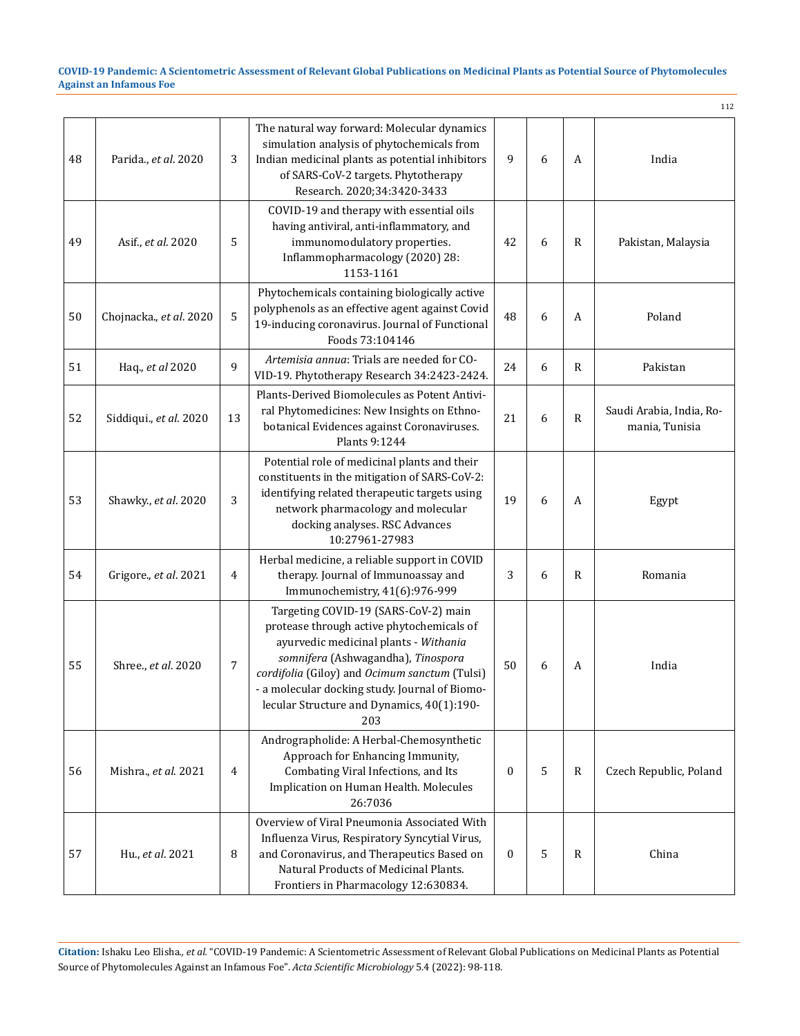112

| 48 | Parida., et al. 2020    | 3  | The natural way forward: Molecular dynamics<br>simulation analysis of phytochemicals from<br>Indian medicinal plants as potential inhibitors<br>of SARS-CoV-2 targets. Phytotherapy<br>Research. 2020;34:3420-3433                                                                                                       | 9            | 6 | A            | India                                      |
|----|-------------------------|----|--------------------------------------------------------------------------------------------------------------------------------------------------------------------------------------------------------------------------------------------------------------------------------------------------------------------------|--------------|---|--------------|--------------------------------------------|
| 49 | Asif., et al. 2020      | 5  | COVID-19 and therapy with essential oils<br>having antiviral, anti-inflammatory, and<br>immunomodulatory properties.<br>Inflammopharmacology (2020) 28:<br>1153-1161                                                                                                                                                     | 42           | 6 | R            | Pakistan, Malaysia                         |
| 50 | Chojnacka., et al. 2020 | 5  | Phytochemicals containing biologically active<br>polyphenols as an effective agent against Covid<br>19-inducing coronavirus. Journal of Functional<br>Foods 73:104146                                                                                                                                                    | 48           | 6 | A            | Poland                                     |
| 51 | Haq., et al 2020        | 9  | Artemisia annua: Trials are needed for CO-<br>VID-19. Phytotherapy Research 34:2423-2424.                                                                                                                                                                                                                                | 24           | 6 | R            | Pakistan                                   |
| 52 | Siddiqui., et al. 2020  | 13 | Plants-Derived Biomolecules as Potent Antivi-<br>ral Phytomedicines: New Insights on Ethno-<br>botanical Evidences against Coronaviruses.<br>Plants 9:1244                                                                                                                                                               | 21           | 6 | $\mathbb{R}$ | Saudi Arabia, India, Ro-<br>mania, Tunisia |
| 53 | Shawky., et al. 2020    | 3  | Potential role of medicinal plants and their<br>constituents in the mitigation of SARS-CoV-2:<br>identifying related therapeutic targets using<br>network pharmacology and molecular<br>docking analyses. RSC Advances<br>10:27961-27983                                                                                 | 19           | 6 | A            | Egypt                                      |
| 54 | Grigore., et al. 2021   | 4  | Herbal medicine, a reliable support in COVID<br>therapy. Journal of Immunoassay and<br>Immunochemistry, 41(6):976-999                                                                                                                                                                                                    | 3            | 6 | R            | Romania                                    |
| 55 | Shree., et al. 2020     | 7  | Targeting COVID-19 (SARS-CoV-2) main<br>protease through active phytochemicals of<br>ayurvedic medicinal plants - Withania<br>somnifera (Ashwagandha), Tinospora<br>cordifolia (Giloy) and Ocimum sanctum (Tulsi)<br>- a molecular docking study. Journal of Biomo-<br>lecular Structure and Dynamics, 40(1):190-<br>203 | 50           | 6 | A            | India                                      |
| 56 | Mishra., et al. 2021    | 4  | Andrographolide: A Herbal-Chemosynthetic<br>Approach for Enhancing Immunity,<br>Combating Viral Infections, and Its<br>Implication on Human Health. Molecules<br>26:7036                                                                                                                                                 | $\mathbf{0}$ | 5 | R            | Czech Republic, Poland                     |
| 57 | Hu., et al. 2021        | 8  | Overview of Viral Pneumonia Associated With<br>Influenza Virus, Respiratory Syncytial Virus,<br>and Coronavirus, and Therapeutics Based on<br>Natural Products of Medicinal Plants.<br>Frontiers in Pharmacology 12:630834.                                                                                              | $\mathbf{0}$ | 5 | R            | China                                      |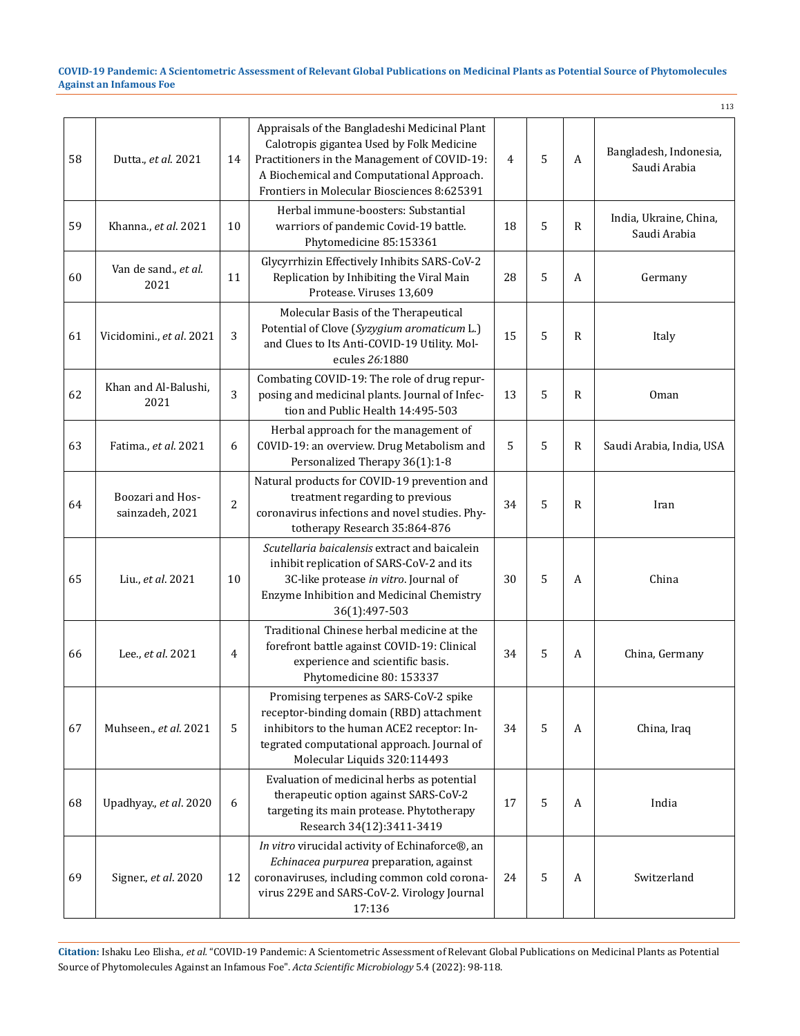|    |                                     |                |                                                                                                                                                                                                                                        |                |   |              | 113                                    |
|----|-------------------------------------|----------------|----------------------------------------------------------------------------------------------------------------------------------------------------------------------------------------------------------------------------------------|----------------|---|--------------|----------------------------------------|
| 58 | Dutta., et al. 2021                 | 14             | Appraisals of the Bangladeshi Medicinal Plant<br>Calotropis gigantea Used by Folk Medicine<br>Practitioners in the Management of COVID-19:<br>A Biochemical and Computational Approach.<br>Frontiers in Molecular Biosciences 8:625391 | $\overline{4}$ | 5 | A            | Bangladesh, Indonesia,<br>Saudi Arabia |
| 59 | Khanna., et al. 2021                | 10             | Herbal immune-boosters: Substantial<br>warriors of pandemic Covid-19 battle.<br>Phytomedicine 85:153361                                                                                                                                | 18             | 5 | $\mathbb{R}$ | India, Ukraine, China,<br>Saudi Arabia |
| 60 | Van de sand., et al.<br>2021        | 11             | Glycyrrhizin Effectively Inhibits SARS-CoV-2<br>Replication by Inhibiting the Viral Main<br>Protease. Viruses 13,609                                                                                                                   | 28             | 5 | A            | Germany                                |
| 61 | Vicidomini., et al. 2021            | 3              | Molecular Basis of the Therapeutical<br>Potential of Clove (Syzygium aromaticum L.)<br>and Clues to Its Anti-COVID-19 Utility. Mol-<br>ecules 26:1880                                                                                  | 15             | 5 | R            | Italy                                  |
| 62 | Khan and Al-Balushi,<br>2021        | 3              | Combating COVID-19: The role of drug repur-<br>posing and medicinal plants. Journal of Infec-<br>tion and Public Health 14:495-503                                                                                                     | 13             | 5 | $\mathbb{R}$ | Oman                                   |
| 63 | Fatima., et al. 2021                | 6              | Herbal approach for the management of<br>C0VID-19: an overview. Drug Metabolism and<br>Personalized Therapy 36(1):1-8                                                                                                                  | 5              | 5 | R            | Saudi Arabia, India, USA               |
| 64 | Boozari and Hos-<br>sainzadeh, 2021 | 2              | Natural products for COVID-19 prevention and<br>treatment regarding to previous<br>coronavirus infections and novel studies. Phy-<br>totherapy Research 35:864-876                                                                     | 34             | 5 | R            | Iran                                   |
| 65 | Liu., et al. 2021                   | 10             | Scutellaria baicalensis extract and baicalein<br>inhibit replication of SARS-CoV-2 and its<br>3C-like protease in vitro. Journal of<br>Enzyme Inhibition and Medicinal Chemistry<br>36(1):497-503                                      | 30             | 5 | A            | China                                  |
| 66 | Lee., et al. 2021                   | $\overline{4}$ | Traditional Chinese herbal medicine at the<br>forefront battle against COVID-19: Clinical<br>experience and scientific basis.<br>Phytomedicine 80: 153337                                                                              | 34             | 5 | A            | China, Germany                         |
| 67 | Muhseen., et al. 2021               | 5              | Promising terpenes as SARS-CoV-2 spike<br>receptor-binding domain (RBD) attachment<br>inhibitors to the human ACE2 receptor: In-<br>tegrated computational approach. Journal of<br>Molecular Liquids 320:114493                        | 34             | 5 | A            | China, Iraq                            |
| 68 | Upadhyay., et al. 2020              | 6              | Evaluation of medicinal herbs as potential<br>therapeutic option against SARS-CoV-2<br>targeting its main protease. Phytotherapy<br>Research 34(12):3411-3419                                                                          | 17             | 5 | A            | India                                  |
| 69 | Signer., et al. 2020                | 12             | In vitro virucidal activity of Echinaforce®, an<br>Echinacea purpurea preparation, against<br>coronaviruses, including common cold corona-<br>virus 229E and SARS-CoV-2. Virology Journal<br>17:136                                    | 24             | 5 | A            | Switzerland                            |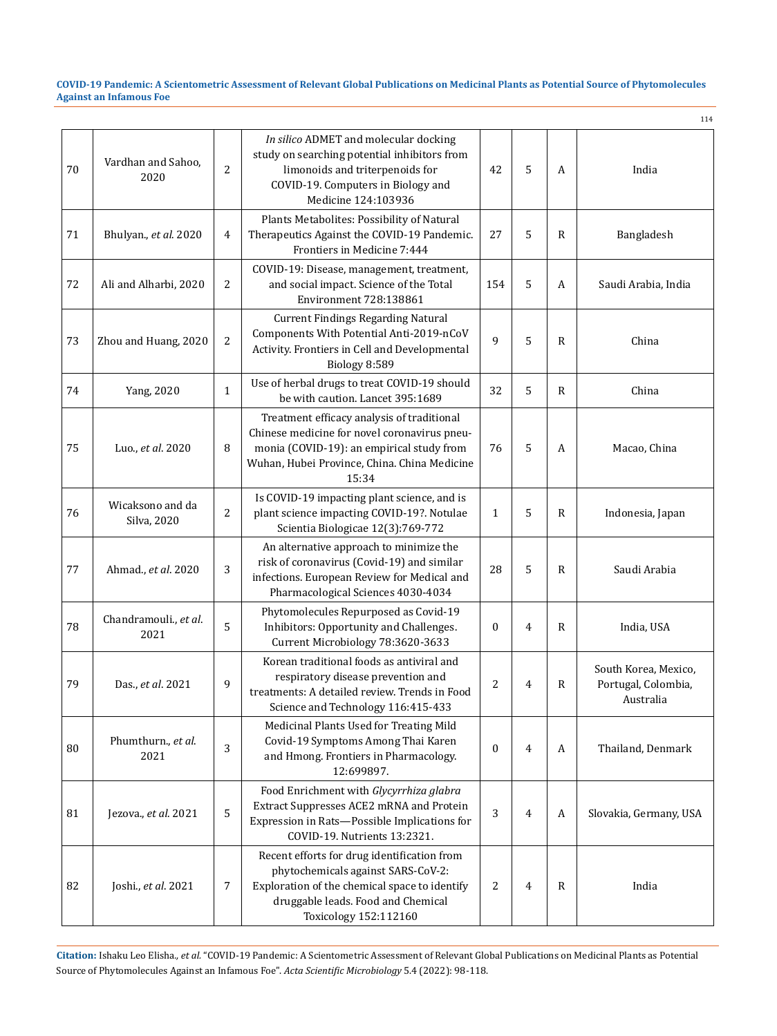|    |                                 |                |                                                                                                                                                                                                   |                  |                |              | 114                                                      |
|----|---------------------------------|----------------|---------------------------------------------------------------------------------------------------------------------------------------------------------------------------------------------------|------------------|----------------|--------------|----------------------------------------------------------|
| 70 | Vardhan and Sahoo,<br>2020      | 2              | In silico ADMET and molecular docking<br>study on searching potential inhibitors from<br>limonoids and triterpenoids for<br>COVID-19. Computers in Biology and<br>Medicine 124:103936             | 42               | 5              | A            | India                                                    |
| 71 | Bhulyan., et al. 2020           | 4              | Plants Metabolites: Possibility of Natural<br>Therapeutics Against the COVID-19 Pandemic.<br>Frontiers in Medicine 7:444                                                                          | 27               | 5              | $\mathbb{R}$ | Bangladesh                                               |
| 72 | Ali and Alharbi, 2020           | 2              | COVID-19: Disease, management, treatment,<br>and social impact. Science of the Total<br>Environment 728:138861                                                                                    | 154              | 5              | A            | Saudi Arabia, India                                      |
| 73 | Zhou and Huang, 2020            | $\overline{c}$ | <b>Current Findings Regarding Natural</b><br>Components With Potential Anti-2019-nCoV<br>Activity. Frontiers in Cell and Developmental<br>Biology 8:589                                           | 9                | 5              | $\mathbb{R}$ | China                                                    |
| 74 | Yang, 2020                      | $\mathbf{1}$   | Use of herbal drugs to treat COVID-19 should<br>be with caution. Lancet 395:1689                                                                                                                  | 32               | 5              | R            | China                                                    |
| 75 | Luo., et al. 2020               | 8              | Treatment efficacy analysis of traditional<br>Chinese medicine for novel coronavirus pneu-<br>monia (COVID-19): an empirical study from<br>Wuhan, Hubei Province, China. China Medicine<br>15:34  | 76               | 5              | A            | Macao, China                                             |
| 76 | Wicaksono and da<br>Silva, 2020 | 2              | Is COVID-19 impacting plant science, and is<br>plant science impacting COVID-19?. Notulae<br>Scientia Biologicae 12(3):769-772                                                                    | 1                | 5              | $\mathbb{R}$ | Indonesia, Japan                                         |
| 77 | Ahmad., et al. 2020             | 3              | An alternative approach to minimize the<br>risk of coronavirus (Covid-19) and similar<br>infections. European Review for Medical and<br>Pharmacological Sciences 4030-4034                        | 28               | 5              | $\mathbb{R}$ | Saudi Arabia                                             |
| 78 | Chandramouli., et al.<br>2021   | 5              | Phytomolecules Repurposed as Covid-19<br>Inhibitors: Opportunity and Challenges.<br>Current Microbiology 78:3620-3633                                                                             | $\mathbf{0}$     | 4              | $\mathbb{R}$ | India, USA                                               |
| 79 | Das., <i>et al.</i> 2021        | 9              | Korean traditional foods as antiviral and<br>respiratory disease prevention and<br>treatments: A detailed review. Trends in Food<br>Science and Technology 116:415-433                            | 2                | 4              | R            | South Korea, Mexico,<br>Portugal, Colombia,<br>Australia |
| 80 | Phumthurn., et al.<br>2021      | 3              | Medicinal Plants Used for Treating Mild<br>Covid-19 Symptoms Among Thai Karen<br>and Hmong. Frontiers in Pharmacology.<br>12:699897.                                                              | $\boldsymbol{0}$ | 4              | A            | Thailand, Denmark                                        |
| 81 | Jezova., et al. 2021            | 5              | Food Enrichment with Glycyrrhiza glabra<br>Extract Suppresses ACE2 mRNA and Protein<br>Expression in Rats-Possible Implications for<br>COVID-19. Nutrients 13:2321.                               | 3                | 4              | A            | Slovakia, Germany, USA                                   |
| 82 | Joshi., et al. 2021             | 7              | Recent efforts for drug identification from<br>phytochemicals against SARS-CoV-2:<br>Exploration of the chemical space to identify<br>druggable leads. Food and Chemical<br>Toxicology 152:112160 | 2                | $\overline{4}$ | $\mathbb{R}$ | India                                                    |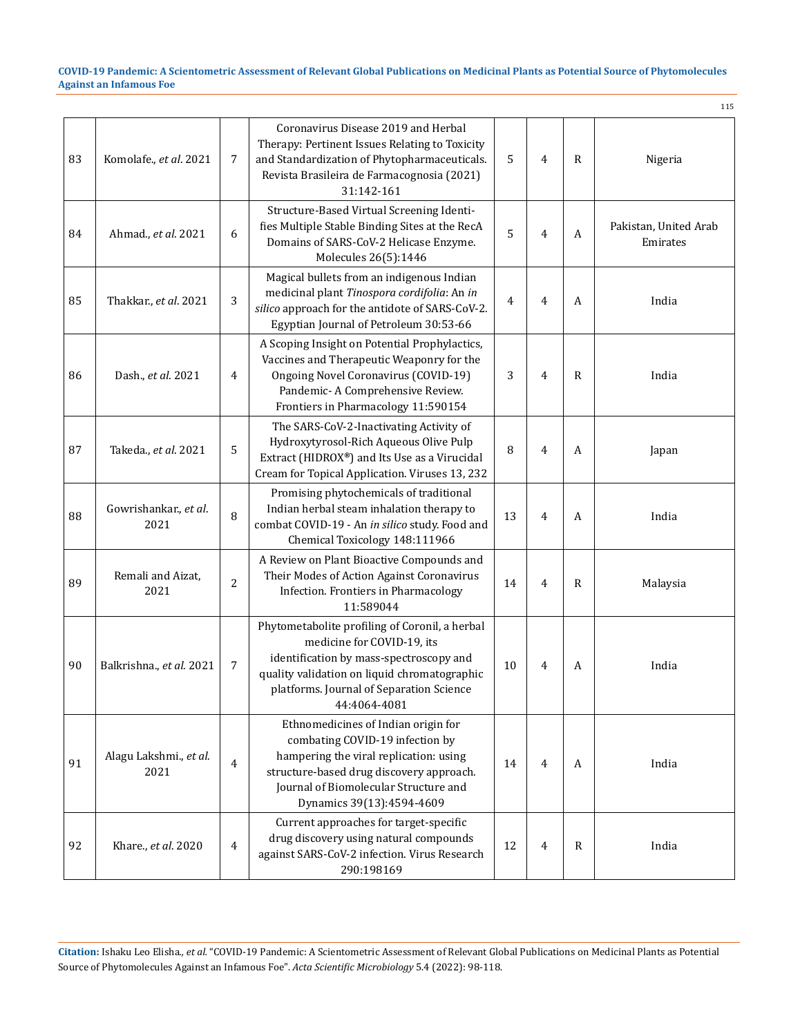|    |                                |                |                                                                                                                                                                                                                                     |    |                |              | 115                               |
|----|--------------------------------|----------------|-------------------------------------------------------------------------------------------------------------------------------------------------------------------------------------------------------------------------------------|----|----------------|--------------|-----------------------------------|
| 83 | Komolafe., et al. 2021         | 7              | Coronavirus Disease 2019 and Herbal<br>Therapy: Pertinent Issues Relating to Toxicity<br>and Standardization of Phytopharmaceuticals.<br>Revista Brasileira de Farmacognosia (2021)<br>31:142-161                                   | 5  | $\overline{4}$ | R            | Nigeria                           |
| 84 | Ahmad., et al. 2021            | 6              | Structure-Based Virtual Screening Identi-<br>fies Multiple Stable Binding Sites at the RecA<br>Domains of SARS-CoV-2 Helicase Enzyme.<br>Molecules 26(5):1446                                                                       | 5  | 4              | A            | Pakistan, United Arab<br>Emirates |
| 85 | Thakkar., et al. 2021          | 3              | Magical bullets from an indigenous Indian<br>medicinal plant Tinospora cordifolia: An in<br>silico approach for the antidote of SARS-CoV-2.<br>Egyptian Journal of Petroleum 30:53-66                                               | 4  | 4              | A            | India                             |
| 86 | Dash., et al. 2021             | 4              | A Scoping Insight on Potential Prophylactics,<br>Vaccines and Therapeutic Weaponry for the<br>Ongoing Novel Coronavirus (COVID-19)<br>Pandemic- A Comprehensive Review.<br>Frontiers in Pharmacology 11:590154                      | 3  | 4              | R            | India                             |
| 87 | Takeda., et al. 2021           | 5              | The SARS-CoV-2-Inactivating Activity of<br>Hydroxytyrosol-Rich Aqueous Olive Pulp<br>Extract (HIDROX®) and Its Use as a Virucidal<br>Cream for Topical Application. Viruses 13, 232                                                 | 8  | $\overline{4}$ | A            | Japan                             |
| 88 | Gowrishankar., et al.<br>2021  | 8              | Promising phytochemicals of traditional<br>Indian herbal steam inhalation therapy to<br>combat COVID-19 - An in silico study. Food and<br>Chemical Toxicology 148:111966                                                            | 13 | 4              | A            | India                             |
| 89 | Remali and Aizat,<br>2021      | 2              | A Review on Plant Bioactive Compounds and<br>Their Modes of Action Against Coronavirus<br>Infection. Frontiers in Pharmacology<br>11:589044                                                                                         | 14 | 4              | $\mathbb{R}$ | Malaysia                          |
| 90 | Balkrishna., et al. 2021       | 7              | Phytometabolite profiling of Coronil, a herbal<br>medicine for COVID-19, its<br>identification by mass-spectroscopy and<br>quality validation on liquid chromatographic<br>platforms. Journal of Separation Science<br>44:4064-4081 | 10 | 4              | A            | India                             |
| 91 | Alagu Lakshmi., et al.<br>2021 | 4              | Ethnomedicines of Indian origin for<br>combating COVID-19 infection by<br>hampering the viral replication: using<br>structure-based drug discovery approach.<br>Journal of Biomolecular Structure and<br>Dynamics 39(13):4594-4609  | 14 | 4              | A            | India                             |
| 92 | Khare., et al. 2020            | $\overline{4}$ | Current approaches for target-specific<br>drug discovery using natural compounds<br>against SARS-CoV-2 infection. Virus Research<br>290:198169                                                                                      | 12 | 4              | R            | India                             |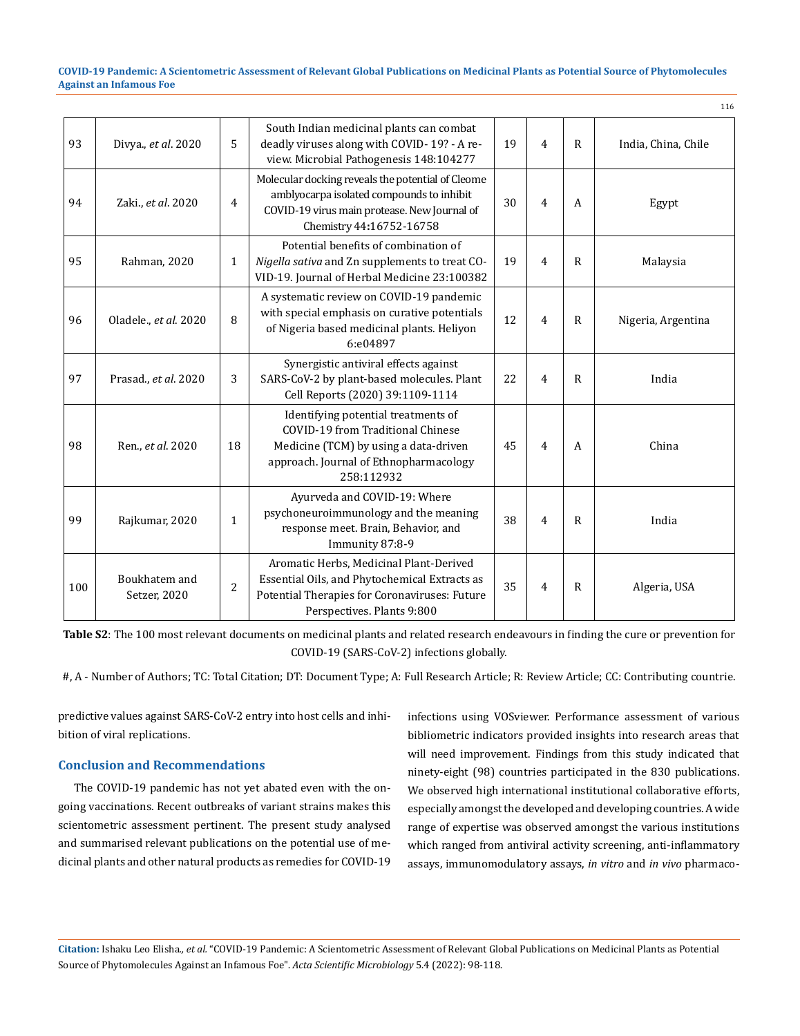|     |                               |                |                                                                                                                                                                            |    |                |              | 116                 |
|-----|-------------------------------|----------------|----------------------------------------------------------------------------------------------------------------------------------------------------------------------------|----|----------------|--------------|---------------------|
| 93  | Divya., et al. 2020           | 5              | South Indian medicinal plants can combat<br>deadly viruses along with COVID-19? - A re-<br>view. Microbial Pathogenesis 148:104277                                         | 19 | 4              | $\mathsf{R}$ | India, China, Chile |
| 94  | Zaki., et al. 2020            | $\overline{4}$ | Molecular docking reveals the potential of Cleome<br>amblyocarpa isolated compounds to inhibit<br>COVID-19 virus main protease. New Journal of<br>Chemistry 44:16752-16758 | 30 | $\overline{4}$ | A            | Egypt               |
| 95  | Rahman, 2020                  | $\mathbf{1}$   | Potential benefits of combination of<br>Nigella sativa and Zn supplements to treat CO-<br>VID-19. Journal of Herbal Medicine 23:100382                                     | 19 | $\overline{4}$ | $\mathbb{R}$ | Malaysia            |
| 96  | Oladele., et al. 2020         | 8              | A systematic review on COVID-19 pandemic<br>with special emphasis on curative potentials<br>of Nigeria based medicinal plants. Heliyon<br>6:e04897                         | 12 | 4              | $\mathsf{R}$ | Nigeria, Argentina  |
| 97  | Prasad., et al. 2020          | 3              | Synergistic antiviral effects against<br>SARS-CoV-2 by plant-based molecules. Plant<br>Cell Reports (2020) 39:1109-1114                                                    | 22 | $\overline{4}$ | $\mathsf{R}$ | India               |
| 98  | Ren., et al. 2020             | 18             | Identifying potential treatments of<br>COVID-19 from Traditional Chinese<br>Medicine (TCM) by using a data-driven<br>approach. Journal of Ethnopharmacology<br>258:112932  | 45 | $\overline{4}$ | A            | China               |
| 99  | Rajkumar, 2020                | $\mathbf{1}$   | Ayurveda and COVID-19: Where<br>psychoneuroimmunology and the meaning<br>response meet. Brain, Behavior, and<br>Immunity 87:8-9                                            | 38 | $\overline{4}$ | $\mathbb{R}$ | India               |
| 100 | Boukhatem and<br>Setzer, 2020 | $\overline{c}$ | Aromatic Herbs, Medicinal Plant-Derived<br>Essential Oils, and Phytochemical Extracts as<br>Potential Therapies for Coronaviruses: Future<br>Perspectives. Plants 9:800    | 35 | $\overline{4}$ | $\mathsf{R}$ | Algeria, USA        |

**Table S2**: The 100 most relevant documents on medicinal plants and related research endeavours in finding the cure or prevention for COVID-19 (SARS-CoV-2) infections globally.

#, A - Number of Authors; TC: Total Citation; DT: Document Type; A: Full Research Article; R: Review Article; CC: Contributing countrie.

predictive values against SARS-CoV-2 entry into host cells and inhibition of viral replications.

## **Conclusion and Recommendations**

The COVID-19 pandemic has not yet abated even with the ongoing vaccinations. Recent outbreaks of variant strains makes this scientometric assessment pertinent. The present study analysed and summarised relevant publications on the potential use of medicinal plants and other natural products as remedies for COVID-19 infections using VOSviewer. Performance assessment of various bibliometric indicators provided insights into research areas that will need improvement. Findings from this study indicated that ninety-eight (98) countries participated in the 830 publications. We observed high international institutional collaborative efforts, especially amongst the developed and developing countries. A wide range of expertise was observed amongst the various institutions which ranged from antiviral activity screening, anti-inflammatory assays, immunomodulatory assays, *in vitro* and *in vivo* pharmaco-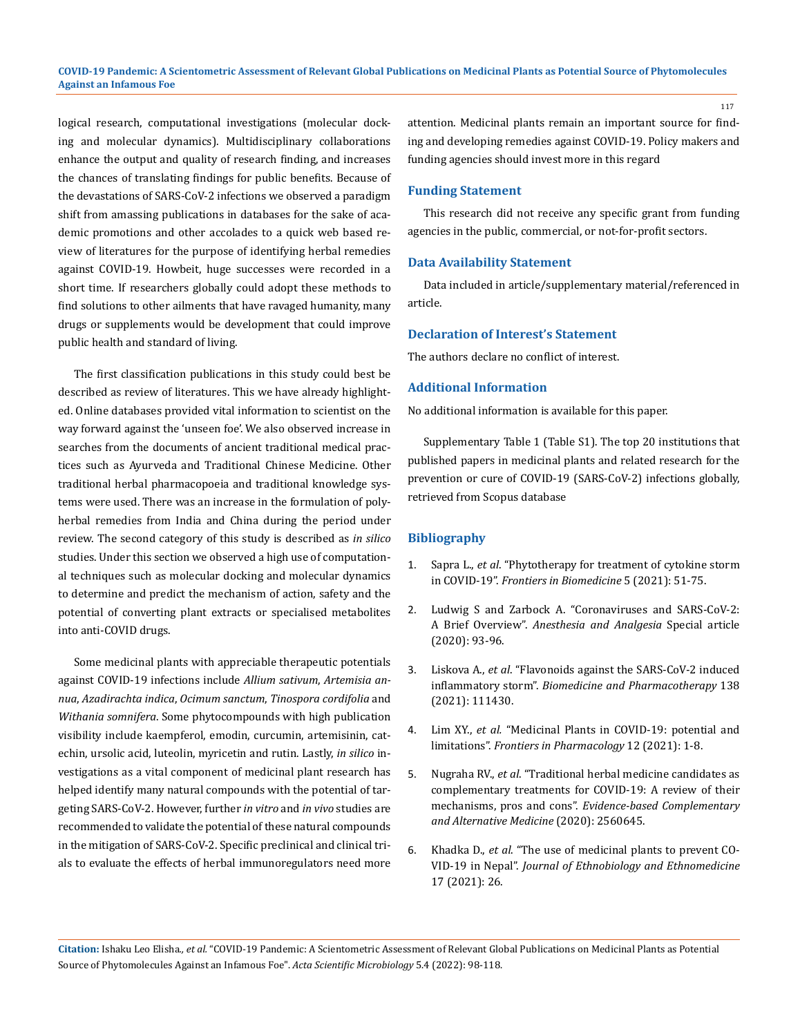logical research, computational investigations (molecular docking and molecular dynamics). Multidisciplinary collaborations enhance the output and quality of research finding, and increases the chances of translating findings for public benefits. Because of the devastations of SARS-CoV-2 infections we observed a paradigm shift from amassing publications in databases for the sake of academic promotions and other accolades to a quick web based review of literatures for the purpose of identifying herbal remedies against COVID-19. Howbeit, huge successes were recorded in a short time. If researchers globally could adopt these methods to find solutions to other ailments that have ravaged humanity, many drugs or supplements would be development that could improve public health and standard of living.

The first classification publications in this study could best be described as review of literatures. This we have already highlighted. Online databases provided vital information to scientist on the way forward against the 'unseen foe'. We also observed increase in searches from the documents of ancient traditional medical practices such as Ayurveda and Traditional Chinese Medicine. Other traditional herbal pharmacopoeia and traditional knowledge systems were used. There was an increase in the formulation of polyherbal remedies from India and China during the period under review. The second category of this study is described as *in silico* studies. Under this section we observed a high use of computational techniques such as molecular docking and molecular dynamics to determine and predict the mechanism of action, safety and the potential of converting plant extracts or specialised metabolites into anti-COVID drugs.

Some medicinal plants with appreciable therapeutic potentials against COVID-19 infections include *Allium sativum*, *Artemisia annua*, *Azadirachta indica*, *Ocimum sanctum*, *Tinospora cordifolia* and *Withania somnifera*. Some phytocompounds with high publication visibility include kaempferol, emodin, curcumin, artemisinin, catechin, ursolic acid, luteolin, myricetin and rutin. Lastly, *in silico* investigations as a vital component of medicinal plant research has helped identify many natural compounds with the potential of targeting SARS-CoV-2. However, further *in vitro* and *in vivo* studies are recommended to validate the potential of these natural compounds in the mitigation of SARS-CoV-2. Specific preclinical and clinical trials to evaluate the effects of herbal immunoregulators need more attention. Medicinal plants remain an important source for finding and developing remedies against COVID-19. Policy makers and funding agencies should invest more in this regard

### **Funding Statement**

This research did not receive any specific grant from funding agencies in the public, commercial, or not-for-profit sectors.

### **Data Availability Statement**

Data included in article/supplementary material/referenced in article.

### **Declaration of Interest's Statement**

The authors declare no conflict of interest.

### **Additional Information**

No additional information is available for this paper.

Supplementary Table 1 (Table S1). The top 20 institutions that published papers in medicinal plants and related research for the prevention or cure of COVID-19 (SARS-CoV-2) infections globally, retrieved from Scopus database

#### **Bibliography**

- 1. Sapra L., *et al*[. "Phytotherapy for treatment of cytokine storm](https://www.fbscience.com/Landmark/articles/10.52586/4924)  in COVID-19". *[Frontiers in Biomedicine](https://www.fbscience.com/Landmark/articles/10.52586/4924)* 5 (2021): 51-75.
- 2. [Ludwig S and Zarbock A. "Coronaviruses and SARS-CoV-2:](https://journals.lww.com/anesthesia-analgesia/fulltext/2020/07000/coronaviruses_and_sars_cov_2__a_brief_overview.14.aspx)  A Brief Overview". *[Anesthesia and Analgesia](https://journals.lww.com/anesthesia-analgesia/fulltext/2020/07000/coronaviruses_and_sars_cov_2__a_brief_overview.14.aspx)* Special article [\(2020\): 93-96.](https://journals.lww.com/anesthesia-analgesia/fulltext/2020/07000/coronaviruses_and_sars_cov_2__a_brief_overview.14.aspx)
- 3. Liskova A., *et al*[. "Flavonoids against the SARS-CoV-2 induced](https://www.sciencedirect.com/science/article/pii/S0753332221002158)  inflammatory storm". *[Biomedicine and Pharmacotherapy](https://www.sciencedirect.com/science/article/pii/S0753332221002158)* 138 [\(2021\): 111430.](https://www.sciencedirect.com/science/article/pii/S0753332221002158)
- 4. Lim XY., *et al.* ["Medicinal Plants in COVID-19: potential and](https://www.frontiersin.org/articles/10.3389/fphar.2021.611408/full)  limitations". *[Frontiers in Pharmacology](https://www.frontiersin.org/articles/10.3389/fphar.2021.611408/full)* 12 (2021): 1-8.
- 5. Nugraha RV., *et al*[. "Traditional herbal medicine candidates as](https://www.hindawi.com/journals/ecam/2020/2560645/)  [complementary treatments for COVID-19: A review of their](https://www.hindawi.com/journals/ecam/2020/2560645/)  mechanisms, pros and cons". *[Evidence-based Complementary](https://www.hindawi.com/journals/ecam/2020/2560645/)  [and Alternative Medicine](https://www.hindawi.com/journals/ecam/2020/2560645/)* (2020): 2560645.
- 6. Khadka D., *et al*[. "The use of medicinal plants to prevent CO-](https://ethnobiomed.biomedcentral.com/articles/10.1186/s13002-021-00449-w)VID-19 in Nepal". *[Journal of Ethnobiology and Ethnomedicine](https://ethnobiomed.biomedcentral.com/articles/10.1186/s13002-021-00449-w)*  [17 \(2021\): 26.](https://ethnobiomed.biomedcentral.com/articles/10.1186/s13002-021-00449-w)

**Citation:** Ishaku Leo Elisha*., et al.* "COVID-19 Pandemic: A Scientometric Assessment of Relevant Global Publications on Medicinal Plants as Potential Source of Phytomolecules Against an Infamous Foe". *Acta Scientific Microbiology* 5.4 (2022): 98-118.

117